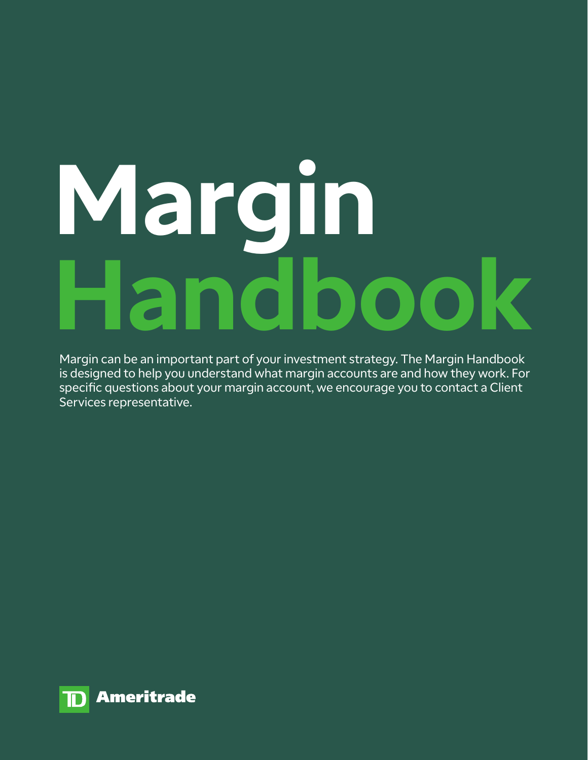# **Margin Handbook**

Margin can be an important part of your investment strategy. The Margin Handbook is designed to help you understand what margin accounts are and how they work. For specific questions about your margin account, we encourage you to contact a Client Services representative.

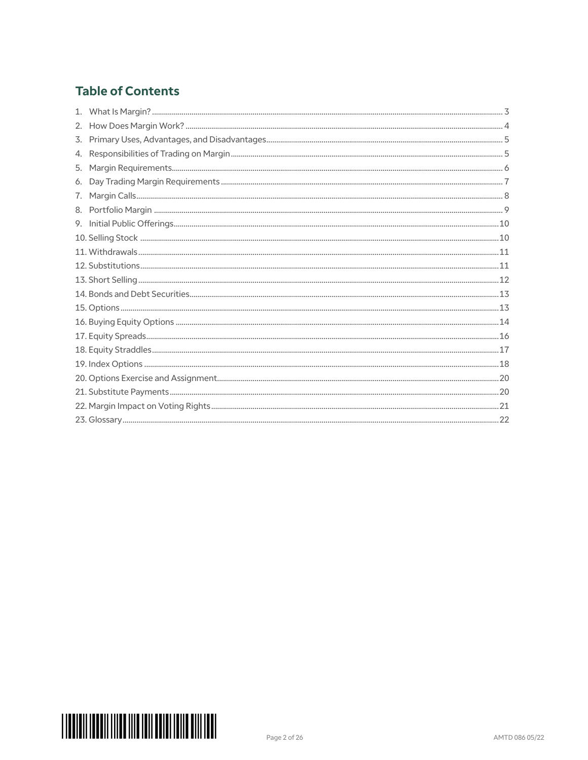# **Table of Contents**

| 4. |  |
|----|--|
|    |  |
|    |  |
|    |  |
|    |  |
|    |  |
|    |  |
|    |  |
|    |  |
|    |  |
|    |  |
|    |  |
|    |  |
|    |  |
|    |  |
|    |  |
|    |  |
|    |  |
|    |  |
|    |  |

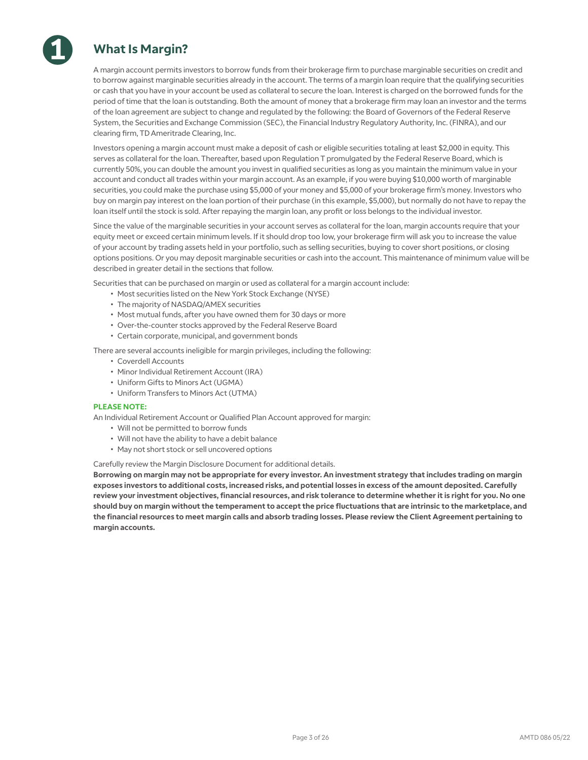

**1**

A margin account permits investors to borrow funds from their brokerage firm to purchase marginable securities on credit and to borrow against marginable securities already in the account. The terms of a margin loan require that the qualifying securities or cash that you have in your account be used as collateral to secure the loan. Interest is charged on the borrowed funds for the period of time that the loan is outstanding. Both the amount of money that a brokerage firm may loan an investor and the terms of the loan agreement are subject to change and regulated by the following: the Board of Governors of the Federal Reserve System, the Securities and Exchange Commission (SEC), the Financial Industry Regulatory Authority, Inc. (FINRA), and our clearing firm, TD Ameritrade Clearing, Inc.

Investors opening a margin account must make a deposit of cash or eligible securities totaling at least \$2,000 in equity. This serves as collateral for the loan. Thereafter, based upon Regulation T promulgated by the Federal Reserve Board, which is currently 50%, you can double the amount you invest in qualified securities as long as you maintain the minimum value in your account and conduct all trades within your margin account. As an example, if you were buying \$10,000 worth of marginable securities, you could make the purchase using \$5,000 of your money and \$5,000 of your brokerage firm's money. Investors who buy on margin pay interest on the loan portion of their purchase (in this example, \$5,000), but normally do not have to repay the loan itself until the stock is sold. After repaying the margin loan, any profit or loss belongs to the individual investor.

Since the value of the marginable securities in your account serves as collateral for the loan, margin accounts require that your equity meet or exceed certain minimum levels. If it should drop too low, your brokerage firm will ask you to increase the value of your account by trading assets held in your portfolio, such as selling securities, buying to cover short positions, or closing options positions. Or you may deposit marginable securities or cash into the account. This maintenance of minimum value will be described in greater detail in the sections that follow.

Securities that can be purchased on margin or used as collateral for a margin account include:

- Most securities listed on the New York Stock Exchange (NYSE)
- The majority of NASDAQ/AMEX securities
- Most mutual funds, after you have owned them for 30 days or more
- Over-the-counter stocks approved by the Federal Reserve Board
- Certain corporate, municipal, and government bonds

There are several accounts ineligible for margin privileges, including the following:

- Coverdell Accounts
- Minor Individual Retirement Account (IRA)
- Uniform Gifts to Minors Act (UGMA)
- Uniform Transfers to Minors Act (UTMA)

### **PLEASE NOTE:**

An Individual Retirement Account or Qualified Plan Account approved for margin:

- Will not be permitted to borrow funds
- Will not have the ability to have a debit balance
- May not short stock or sell uncovered options

### Carefully review the Margin Disclosure Document for additional details.

**Borrowing on margin may not be appropriate for every investor. An investment strategy that includes trading on margin exposes investors to additional costs, increased risks, and potential losses in excess of the amount deposited. Carefully review your investment objectives, financial resources, and risk tolerance to determine whether it is right for you. No one should buy on margin without the temperament to accept the price fluctuations that are intrinsic to the marketplace, and the financial resources to meet margin calls and absorb trading losses. Please review the Client Agreement pertaining to margin accounts.**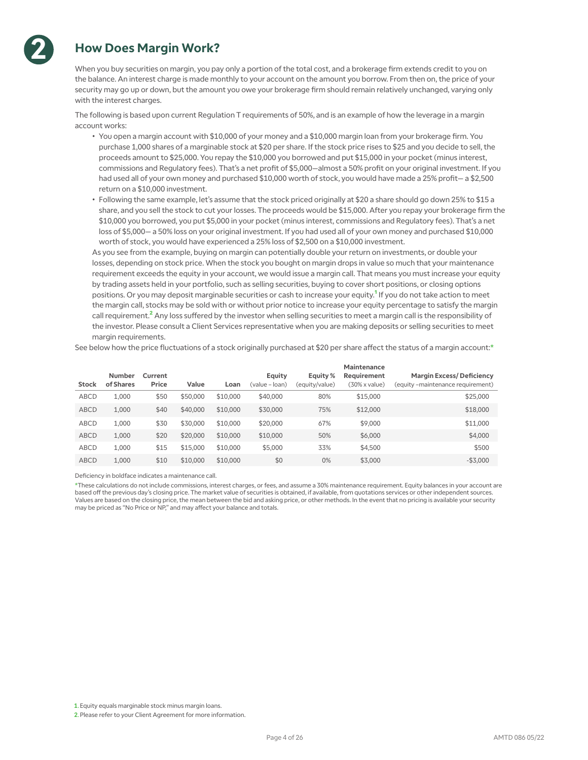

**2**

When you buy securities on margin, you pay only a portion of the total cost, and a brokerage firm extends credit to you on the balance. An interest charge is made monthly to your account on the amount you borrow. From then on, the price of your security may go up or down, but the amount you owe your brokerage firm should remain relatively unchanged, varying only with the interest charges.

The following is based upon current Regulation T requirements of 50%, and is an example of how the leverage in a margin account works:

- You open a margin account with \$10,000 of your money and a \$10,000 margin loan from your brokerage firm. You purchase 1,000 shares of a marginable stock at \$20 per share. If the stock price rises to \$25 and you decide to sell, the proceeds amount to \$25,000. You repay the \$10,000 you borrowed and put \$15,000 in your pocket (minus interest, commissions and Regulatory fees). That's a net profit of \$5,000—almost a 50% profit on your original investment. If you had used all of your own money and purchased \$10,000 worth of stock, you would have made a 25% profit— a \$2,500 return on a \$10,000 investment.
- Following the same example, let's assume that the stock priced originally at \$20 a share should go down 25% to \$15 a share, and you sell the stock to cut your losses. The proceeds would be \$15,000. After you repay your brokerage firm the \$10,000 you borrowed, you put \$5,000 in your pocket (minus interest, commissions and Regulatory fees). That's a net loss of \$5,000— a 50% loss on your original investment. If you had used all of your own money and purchased \$10,000 worth of stock, you would have experienced a 25% loss of \$2,500 on a \$10,000 investment.

As you see from the example, buying on margin can potentially double your return on investments, or double your losses, depending on stock price. When the stock you bought on margin drops in value so much that your maintenance requirement exceeds the equity in your account, we would issue a margin call. That means you must increase your equity by trading assets held in your portfolio, such as selling securities, buying to cover short positions, or closing options positions. Or you may deposit marginable securities or cash to increase your equity.<sup>1</sup> If you do not take action to meet the margin call, stocks may be sold with or without prior notice to increase your equity percentage to satisfy the margin call requirement.<sup>2</sup> Any loss suffered by the investor when selling securities to meet a margin call is the responsibility of the investor. Please consult a Client Services representative when you are making deposits or selling securities to meet margin requirements.

See below how the price fluctuations of a stock originally purchased at \$20 per share affect the status of a margin account:\*

| <b>Stock</b> | <b>Number</b><br>of Shares | Current<br>Price | Value    | Loan     | Equity<br>(value – Ioan) | Equity %<br>(equity/value) | Maintenance<br>Requirement<br>(30% x value) | <b>Margin Excess/Deficiency</b><br>(equity -maintenance requirement) |
|--------------|----------------------------|------------------|----------|----------|--------------------------|----------------------------|---------------------------------------------|----------------------------------------------------------------------|
| <b>ABCD</b>  | 1.000                      | \$50             | \$50,000 | \$10,000 | \$40,000                 | 80%                        | \$15,000                                    | \$25,000                                                             |
| <b>ABCD</b>  | 1.000                      | \$40             | \$40,000 | \$10,000 | \$30,000                 | 75%                        | \$12,000                                    | \$18,000                                                             |
| <b>ABCD</b>  | 1.000                      | \$30             | \$30,000 | \$10,000 | \$20,000                 | 67%                        | \$9,000                                     | \$11,000                                                             |
| <b>ABCD</b>  | 1.000                      | \$20             | \$20,000 | \$10,000 | \$10,000                 | 50%                        | \$6,000                                     | \$4,000                                                              |
| <b>ABCD</b>  | 1,000                      | \$15             | \$15,000 | \$10,000 | \$5,000                  | 33%                        | \$4,500                                     | \$500                                                                |
| <b>ABCD</b>  | 1.000                      | \$10             | \$10,000 | \$10,000 | \$0                      | 0%                         | \$3,000                                     | $-$ \$3,000                                                          |

Deficiency in boldface indicates a maintenance call.

\*These calculations do not include commissions, interest charges, or fees, and assume a 30% maintenance requirement. Equity balances in your account are based off the previous day's closing price. The market value of securities is obtained, if available, from quotations services or other independent sources. Values are based on the closing price, the mean between the bid and asking price, or other methods. In the event that no pricing is available your security may be priced as "No Price or NP," and may affect your balance and totals.

1. Equity equals marginable stock minus margin loans.

2. Please refer to your Client Agreement for more information.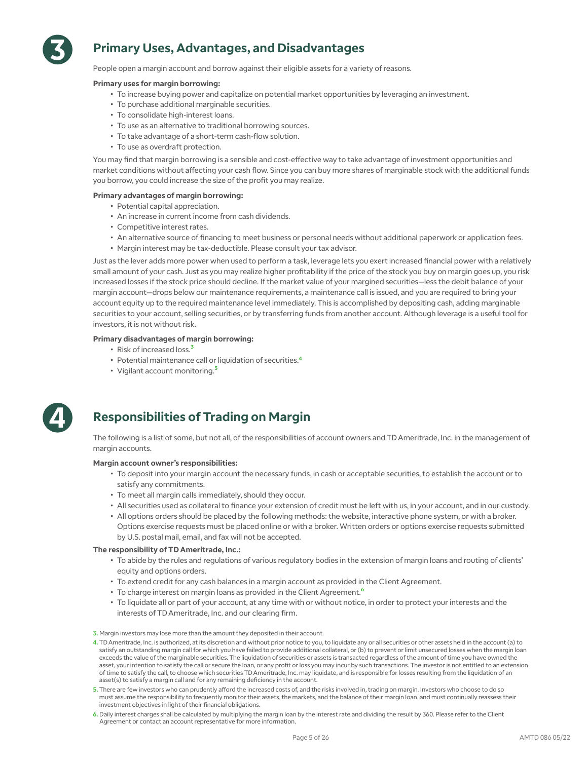

# **Primary Uses, Advantages, and Disadvantages**

People open a margin account and borrow against their eligible assets for a variety of reasons.

### **Primary uses for margin borrowing:**

- To increase buying power and capitalize on potential market opportunities by leveraging an investment.
- To purchase additional marginable securities.
- To consolidate high-interest loans.
- To use as an alternative to traditional borrowing sources.
- To take advantage of a short-term cash-flow solution.
- To use as overdraft protection.

You may find that margin borrowing is a sensible and cost-effective way to take advantage of investment opportunities and market conditions without affecting your cash flow. Since you can buy more shares of marginable stock with the additional funds you borrow, you could increase the size of the profit you may realize.

### **Primary advantages of margin borrowing:**

- Potential capital appreciation.
- An increase in current income from cash dividends.
- Competitive interest rates.
- An alternative source of financing to meet business or personal needs without additional paperwork or application fees.
- Margin interest may be tax-deductible. Please consult your tax advisor.

Just as the lever adds more power when used to perform a task, leverage lets you exert increased financial power with a relatively small amount of your cash. Just as you may realize higher profitability if the price of the stock you buy on margin goes up, you risk increased losses if the stock price should decline. If the market value of your margined securities—less the debit balance of your margin account—drops below our maintenance requirements, a maintenance call is issued, and you are required to bring your account equity up to the required maintenance level immediately. This is accomplished by depositing cash, adding marginable securities to your account, selling securities, or by transferring funds from another account. Although leverage is a useful tool for investors, it is not without risk.

### **Primary disadvantages of margin borrowing:**

- Risk of increased loss.<sup>3</sup>
- Potential maintenance call or liquidation of securities.<sup>4</sup>
- Vigilant account monitoring.<sup>5</sup>



# **Responsibilities of Trading on Margin**

The following is a list of some, but not all, of the responsibilities of account owners and TD Ameritrade, Inc. in the management of margin accounts.

### **Margin account owner's responsibilities:**

- To deposit into your margin account the necessary funds, in cash or acceptable securities, to establish the account or to satisfy any commitments.
- To meet all margin calls immediately, should they occur.
- All securities used as collateral to finance your extension of credit must be left with us, in your account, and in our custody.
- All options orders should be placed by the following methods: the website, interactive phone system, or with a broker. Options exercise requests must be placed online or with a broker. Written orders or options exercise requests submitted by U.S. postal mail, email, and fax will not be accepted.

### **The responsibility of TD Ameritrade, Inc.:**

- To abide by the rules and regulations of various regulatory bodies in the extension of margin loans and routing of clients' equity and options orders.
- To extend credit for any cash balances in a margin account as provided in the Client Agreement.
- To charge interest on margin loans as provided in the Client Agreement.<sup>6</sup>
- To liquidate all or part of your account, at any time with or without notice, in order to protect your interests and the interests of TD Ameritrade, Inc. and our clearing firm.

3. Margin investors may lose more than the amount they deposited in their account.

- 4. TD Ameritrade, Inc. is authorized, at its discretion and without prior notice to you, to liquidate any or all securities or other assets held in the account (a) to satisfy an outstanding margin call for which you have failed to provide additional collateral, or (b) to prevent or limit unsecured losses when the margin loan exceeds the value of the marginable securities. The liquidation of securities or assets is transacted regardless of the amount of time you have owned the asset, your intention to satisfy the call or secure the loan, or any profit or loss you may incur by such transactions. The investor is not entitled to an extension of time to satisfy the call, to choose which securities TD Ameritrade, Inc. may liquidate, and is responsible for losses resulting from the liquidation of an asset(s) to satisfy a margin call and for any remaining deficiency in the account.
- 5. There are few investors who can prudently afford the increased costs of, and the risks involved in, trading on margin. Investors who choose to do so must assume the responsibility to frequently monitor their assets, the markets, and the balance of their margin loan, and must continually reassess their investment objectives in light of their financial obligations.
- 6. Daily interest charges shall be calculated by multiplying the margin loan by the interest rate and dividing the result by 360. Please refer to the Client Agreement or contact an account representative for more information.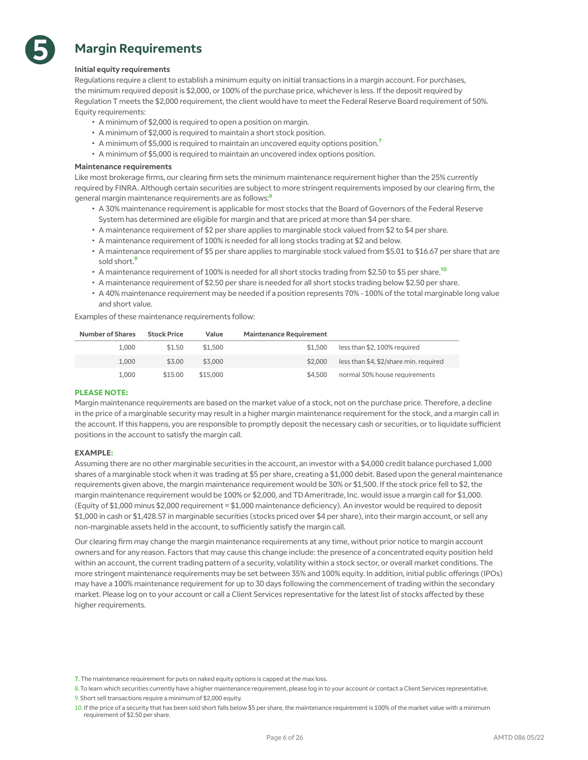

# **Margin Requirements**

### **Initial equity requirements**

Regulations require a client to establish a minimum equity on initial transactions in a margin account. For purchases, the minimum required deposit is \$2,000, or 100% of the purchase price, whichever is less. If the deposit required by Regulation T meets the \$2,000 requirement, the client would have to meet the Federal Reserve Board requirement of 50%. Equity requirements:

- A minimum of \$2,000 is required to open a position on margin.
- A minimum of \$2,000 is required to maintain a short stock position.
- A minimum of \$5,000 is required to maintain an uncovered equity options position.<sup>7</sup>
- A minimum of \$5,000 is required to maintain an uncovered index options position.

### **Maintenance requirements**

Like most brokerage firms, our clearing firm sets the minimum maintenance requirement higher than the 25% currently required by FINRA. Although certain securities are subject to more stringent requirements imposed by our clearing firm, the general margin maintenance requirements are as follows:<sup>8</sup>

- A 30% maintenance requirement is applicable for most stocks that the Board of Governors of the Federal Reserve System has determined are eligible for margin and that are priced at more than \$4 per share.
- A maintenance requirement of \$2 per share applies to marginable stock valued from \$2 to \$4 per share.
- A maintenance requirement of 100% is needed for all long stocks trading at \$2 and below.
- A maintenance requirement of \$5 per share applies to marginable stock valued from \$5.01 to \$16.67 per share that are sold short  $^9$
- A maintenance requirement of 100% is needed for all short stocks trading from \$2.50 to \$5 per share.<sup>10</sup>
- A maintenance requirement of \$2.50 per share is needed for all short stocks trading below \$2.50 per share.
- A 40% maintenance requirement may be needed if a position represents 70% 100% of the total marginable long value and short value.

Examples of these maintenance requirements follow:

|                                        | <b>Maintenance Requirement</b> | Value    | <b>Stock Price</b> | Number of Shares |
|----------------------------------------|--------------------------------|----------|--------------------|------------------|
| less than \$2.100% required            | \$1.500                        | \$1.500  | \$1.50             | 1.000            |
| less than \$4, \$2/share min. required | \$2,000                        | \$3,000  | \$3.00             | 1.000            |
| normal 30% house requirements          | \$4,500                        | \$15,000 | \$15.00            | 1.000            |

### **PLEASE NOTE:**

Margin maintenance requirements are based on the market value of a stock, not on the purchase price. Therefore, a decline in the price of a marginable security may result in a higher margin maintenance requirement for the stock, and a margin call in the account. If this happens, you are responsible to promptly deposit the necessary cash or securities, or to liquidate sufficient positions in the account to satisfy the margin call.

### **EXAMPLE:**

Assuming there are no other marginable securities in the account, an investor with a \$4,000 credit balance purchased 1,000 shares of a marginable stock when it was trading at \$5 per share, creating a \$1,000 debit. Based upon the general maintenance requirements given above, the margin maintenance requirement would be 30% or \$1,500. If the stock price fell to \$2, the margin maintenance requirement would be 100% or \$2,000, and TD Ameritrade, Inc. would issue a margin call for \$1,000. (Equity of \$1,000 minus \$2,000 requirement = \$1,000 maintenance deficiency). An investor would be required to deposit \$1,000 in cash or \$1,428.57 in marginable securities (stocks priced over \$4 per share), into their margin account, or sell any non-marginable assets held in the account, to sufficiently satisfy the margin call.

Our clearing firm may change the margin maintenance requirements at any time, without prior notice to margin account owners and for any reason. Factors that may cause this change include: the presence of a concentrated equity position held within an account, the current trading pattern of a security, volatility within a stock sector, or overall market conditions. The more stringent maintenance requirements may be set between 35% and 100% equity. In addition, initial public offerings (IPOs) may have a 100% maintenance requirement for up to 30 days following the commencement of trading within the secondary market. Please log on to your account or call a Client Services representative for the latest list of stocks affected by these higher requirements.

<sup>7.</sup> The maintenance requirement for puts on naked equity options is capped at the max loss.

<sup>8.</sup>To learn which securities currently have a higher maintenance requirement, please log in to your account or contact a Client Services representative. 9.Short sell transactions require a minimum of \$2,000 equity.

<sup>10.</sup>If the price of a security that has been sold short falls below \$5 per share, the maintenance requirement is 100% of the market value with a minimum requirement of \$2.50 per share.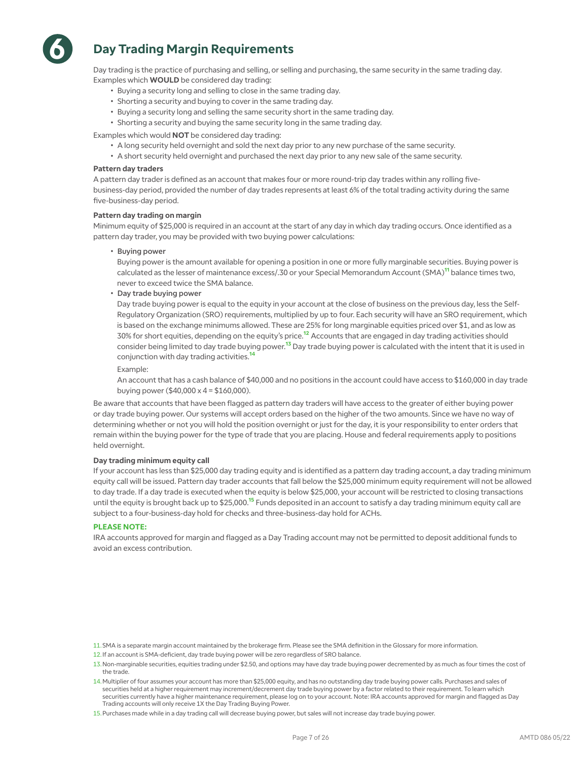

# **Day Trading Margin Requirements**

Day trading is the practice of purchasing and selling, or selling and purchasing, the same security in the same trading day. Examples which **WOULD** be considered day trading:

- Buying a security long and selling to close in the same trading day.
- Shorting a security and buying to cover in the same trading day.
- Buying a security long and selling the same security short in the same trading day.
- Shorting a security and buying the same security long in the same trading day.

Examples which would **NOT** be considered day trading:

- A long security held overnight and sold the next day prior to any new purchase of the same security.
- A short security held overnight and purchased the next day prior to any new sale of the same security.

### **Pattern day traders**

A pattern day trader is defined as an account that makes four or more round-trip day trades within any rolling fivebusiness-day period, provided the number of day trades represents at least 6% of the total trading activity during the same five-business-day period.

### **Pattern day trading on margin**

Minimum equity of \$25,000 is required in an account at the start of any day in which day trading occurs. Once identified as a pattern day trader, you may be provided with two buying power calculations:

• Buying power

Buying power is the amount available for opening a position in one or more fully marginable securities. Buying power is calculated as the lesser of maintenance excess/.30 or your Special Memorandum Account (SMA)<sup>11</sup> balance times two, never to exceed twice the SMA balance.

• Day trade buying power

Day trade buying power is equal to the equity in your account at the close of business on the previous day, less the Self-Regulatory Organization (SRO) requirements, multiplied by up to four. Each security will have an SRO requirement, which is based on the exchange minimums allowed. These are 25% for long marginable equities priced over \$1, and as low as 30% for short equities, depending on the equity's price.<sup>12</sup> Accounts that are engaged in day trading activities should consider being limited to day trade buying power.<sup>13</sup> Day trade buying power is calculated with the intent that it is used in conjunction with day trading activities.<sup>14</sup>

Example:

An account that has a cash balance of \$40,000 and no positions in the account could have access to \$160,000 in day trade buying power (\$40,000 x 4 = \$160,000).

Be aware that accounts that have been flagged as pattern day traders will have access to the greater of either buying power or day trade buying power. Our systems will accept orders based on the higher of the two amounts. Since we have no way of determining whether or not you will hold the position overnight or just for the day, it is your responsibility to enter orders that remain within the buying power for the type of trade that you are placing. House and federal requirements apply to positions held overnight.

### **Day trading minimum equity call**

If your account has less than \$25,000 day trading equity and is identified as a pattern day trading account, a day trading minimum equity call will be issued. Pattern day trader accounts that fall below the \$25,000 minimum equity requirement will not be allowed to day trade. If a day trade is executed when the equity is below \$25,000, your account will be restricted to closing transactions until the equity is brought back up to \$25,000.<sup>15</sup> Funds deposited in an account to satisfy a day trading minimum equity call are subject to a four-business-day hold for checks and three-business-day hold for ACHs.

### **PLEASE NOTE:**

IRA accounts approved for margin and flagged as a Day Trading account may not be permitted to deposit additional funds to avoid an excess contribution.

<sup>11.</sup>SMA is a separate margin account maintained by the brokerage firm. Please see the SMA definition in the Glossary for more information.

<sup>12.</sup>If an account is SMA-deficient, day trade buying power will be zero regardless of SRO balance.

<sup>13.</sup>Non-marginable securities, equities trading under \$2.50, and options may have day trade buying power decremented by as much as four times the cost of the trade.

<sup>14.</sup>Multiplier of four assumes your account has more than \$25,000 equity, and has no outstanding day trade buying power calls. Purchases and sales of securities held at a higher requirement may increment/decrement day trade buying power by a factor related to their requirement. To learn which securities currently have a higher maintenance requirement, please log on to your account. Note: IRA accounts approved for margin and flagged as Day Trading accounts will only receive 1X the Day Trading Buying Power.

<sup>15.</sup>Purchases made while in a day trading call will decrease buying power, but sales will not increase day trade buying power.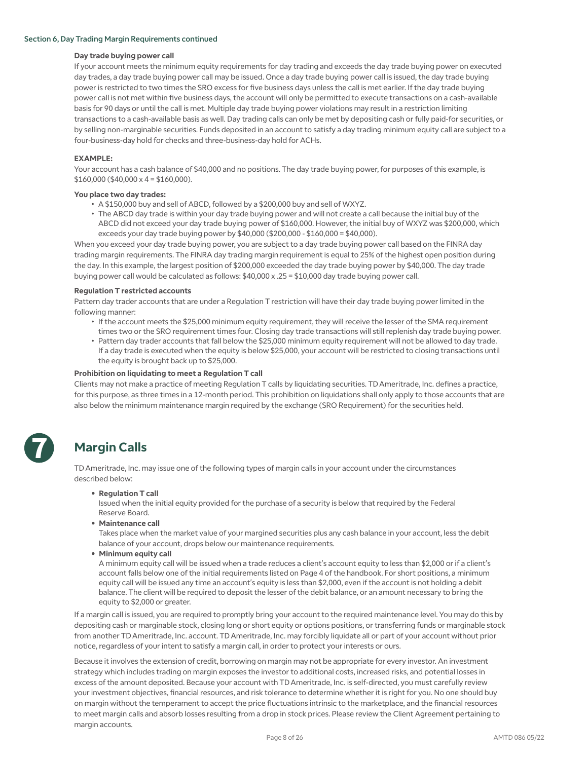### Section 6, Day Trading Margin Requirements continued

### **Day trade buying power call**

If your account meets the minimum equity requirements for day trading and exceeds the day trade buying power on executed day trades, a day trade buying power call may be issued. Once a day trade buying power call is issued, the day trade buying power is restricted to two times the SRO excess for five business days unless the call is met earlier. If the day trade buying power call is not met within five business days, the account will only be permitted to execute transactions on a cash-available basis for 90 days or until the call is met. Multiple day trade buying power violations may result in a restriction limiting transactions to a cash-available basis as well. Day trading calls can only be met by depositing cash or fully paid-for securities, or by selling non-marginable securities. Funds deposited in an account to satisfy a day trading minimum equity call are subject to a four-business-day hold for checks and three-business-day hold for ACHs.

### **EXAMPLE:**

Your account has a cash balance of \$40,000 and no positions. The day trade buying power, for purposes of this example, is  $$160,000$  (\$40,000 x 4 = \$160,000).

### **You place two day trades:**

- A \$150,000 buy and sell of ABCD, followed by a \$200,000 buy and sell of WXYZ.
- The ABCD day trade is within your day trade buying power and will not create a call because the initial buy of the ABCD did not exceed your day trade buying power of \$160,000. However, the initial buy of WXYZ was \$200,000, which exceeds your day trade buying power by \$40,000 (\$200,000 - \$160,000 = \$40,000).

When you exceed your day trade buying power, you are subject to a day trade buying power call based on the FINRA day trading margin requirements. The FINRA day trading margin requirement is equal to 25% of the highest open position during the day. In this example, the largest position of \$200,000 exceeded the day trade buying power by \$40,000. The day trade buying power call would be calculated as follows: \$40,000 x .25 = \$10,000 day trade buying power call.

### **Regulation T restricted accounts**

Pattern day trader accounts that are under a Regulation T restriction will have their day trade buying power limited in the following manner:

- If the account meets the \$25,000 minimum equity requirement, they will receive the lesser of the SMA requirement times two or the SRO requirement times four. Closing day trade transactions will still replenish day trade buying power.
- Pattern day trader accounts that fall below the \$25,000 minimum equity requirement will not be allowed to day trade. If a day trade is executed when the equity is below \$25,000, your account will be restricted to closing transactions until the equity is brought back up to \$25,000.

### **Prohibition on liquidating to meet a Regulation T call**

Clients may not make a practice of meeting Regulation T calls by liquidating securities. TD Ameritrade, Inc. defines a practice, for this purpose, as three times in a 12-month period. This prohibition on liquidations shall only apply to those accounts that are also below the minimum maintenance margin required by the exchange (SRO Requirement) for the securities held.

# **7**

# **Margin Calls**

TD Ameritrade, Inc. may issue one of the following types of margin calls in your account under the circumstances described below:

**• Regulation T call**

Issued when the initial equity provided for the purchase of a security is below that required by the Federal Reserve Board.

**• Maintenance call**

Takes place when the market value of your margined securities plus any cash balance in your account, less the debit balance of your account, drops below our maintenance requirements.

**• Minimum equity call**

A minimum equity call will be issued when a trade reduces a client's account equity to less than \$2,000 or if a client's account falls below one of the initial requirements listed on Page 4 of the handbook. For short positions, a minimum equity call will be issued any time an account's equity is less than \$2,000, even if the account is not holding a debit balance. The client will be required to deposit the lesser of the debit balance, or an amount necessary to bring the equity to \$2,000 or greater.

If a margin call is issued, you are required to promptly bring your account to the required maintenance level. You may do this by depositing cash or marginable stock, closing long or short equity or options positions, or transferring funds or marginable stock from another TD Ameritrade, Inc. account. TD Ameritrade, Inc. may forcibly liquidate all or part of your account without prior notice, regardless of your intent to satisfy a margin call, in order to protect your interests or ours.

Because it involves the extension of credit, borrowing on margin may not be appropriate for every investor. An investment strategy which includes trading on margin exposes the investor to additional costs, increased risks, and potential losses in excess of the amount deposited. Because your account with TD Ameritrade, Inc. is self-directed, you must carefully review your investment objectives, financial resources, and risk tolerance to determine whether it is right for you. No one should buy on margin without the temperament to accept the price fluctuations intrinsic to the marketplace, and the financial resources to meet margin calls and absorb losses resulting from a drop in stock prices. Please review the Client Agreement pertaining to margin accounts.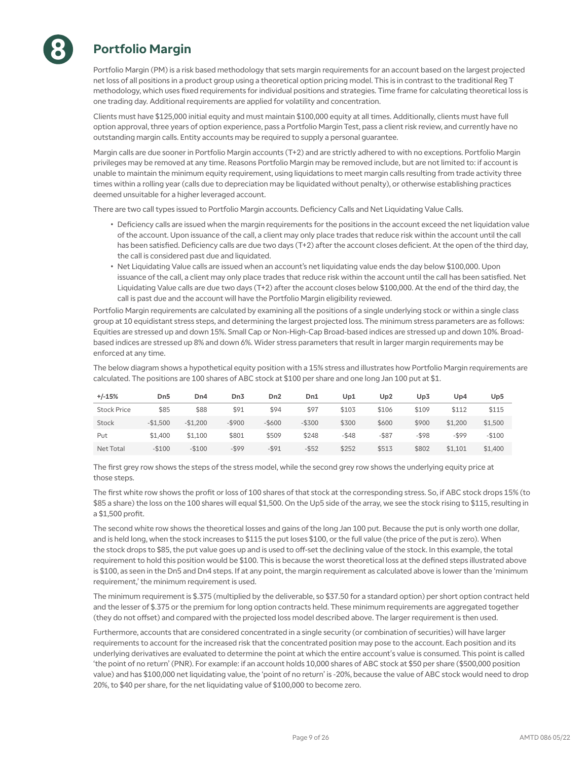

# **Portfolio Margin**

Portfolio Margin (PM) is a risk based methodology that sets margin requirements for an account based on the largest projected net loss of all positions in a product group using a theoretical option pricing model. This is in contrast to the traditional Reg T methodology, which uses fixed requirements for individual positions and strategies. Time frame for calculating theoretical loss is one trading day. Additional requirements are applied for volatility and concentration.

Clients must have \$125,000 initial equity and must maintain \$100,000 equity at all times. Additionally, clients must have full option approval, three years of option experience, pass a Portfolio Margin Test, pass a client risk review, and currently have no outstanding margin calls. Entity accounts may be required to supply a personal guarantee.

Margin calls are due sooner in Portfolio Margin accounts (T+2) and are strictly adhered to with no exceptions. Portfolio Margin privileges may be removed at any time. Reasons Portfolio Margin may be removed include, but are not limited to: if account is unable to maintain the minimum equity requirement, using liquidations to meet margin calls resulting from trade activity three times within a rolling year (calls due to depreciation may be liquidated without penalty), or otherwise establishing practices deemed unsuitable for a higher leveraged account.

There are two call types issued to Portfolio Margin accounts. Deficiency Calls and Net Liquidating Value Calls.

- Deficiency calls are issued when the margin requirements for the positions in the account exceed the net liquidation value of the account. Upon issuance of the call, a client may only place trades that reduce risk within the account until the call has been satisfied. Deficiency calls are due two days (T+2) after the account closes deficient. At the open of the third day, the call is considered past due and liquidated.
- Net Liquidating Value calls are issued when an account's net liquidating value ends the day below \$100,000. Upon issuance of the call, a client may only place trades that reduce risk within the account until the call has been satisfied. Net Liquidating Value calls are due two days (T+2) after the account closes below \$100,000. At the end of the third day, the call is past due and the account will have the Portfolio Margin eligibility reviewed.

Portfolio Margin requirements are calculated by examining all the positions of a single underlying stock or within a single class group at 10 equidistant stress steps, and determining the largest projected loss. The minimum stress parameters are as follows: Equities are stressed up and down 15%. Small Cap or Non-High-Cap Broad-based indices are stressed up and down 10%. Broadbased indices are stressed up 8% and down 6%. Wider stress parameters that result in larger margin requirements may be enforced at any time.

The below diagram shows a hypothetical equity position with a 15% stress and illustrates how Portfolio Margin requirements are calculated. The positions are 100 shares of ABC stock at \$100 per share and one long Jan 100 put at \$1.

| $+/-15%$           | Dn5       | Dn4       | Dn3       | D <sub>n</sub> 2 | Dn1       | Up1      | Up2      | Up3      | Up4      | Up5     |
|--------------------|-----------|-----------|-----------|------------------|-----------|----------|----------|----------|----------|---------|
| <b>Stock Price</b> | \$85      | \$88      | \$91      | \$94             | \$97      | \$103    | \$106    | \$109    | \$112    | \$115   |
| Stock              | $-$1.500$ | $-$1,200$ | $-$ \$900 | $-$ \$600        | $-$ \$300 | \$300    | \$600    | \$900    | \$1,200  | \$1,500 |
| Put                | \$1,400   | \$1.100   | \$801     | \$509            | \$248     | $-$ \$48 | $-$ \$87 | $-$ \$98 | $-$ \$99 | $-$100$ |
| Net Total          | $-$100$   | $-$100$   | $-$ \$99  | $-591$           | $-$ \$52  | \$252    | \$513    | \$802    | \$1,101  | \$1,400 |

The first grey row shows the steps of the stress model, while the second grey row shows the underlying equity price at those steps.

The first white row shows the profit or loss of 100 shares of that stock at the corresponding stress. So, if ABC stock drops 15% (to \$85 a share) the loss on the 100 shares will equal \$1,500. On the Up5 side of the array, we see the stock rising to \$115, resulting in a \$1,500 profit.

The second white row shows the theoretical losses and gains of the long Jan 100 put. Because the put is only worth one dollar, and is held long, when the stock increases to \$115 the put loses \$100, or the full value (the price of the put is zero). When the stock drops to \$85, the put value goes up and is used to off-set the declining value of the stock. In this example, the total requirement to hold this position would be \$100. This is because the worst theoretical loss at the defined steps illustrated above is \$100, as seen in the Dn5 and Dn4 steps. If at any point, the margin requirement as calculated above is lower than the 'minimum requirement,' the minimum requirement is used.

The minimum requirement is \$.375 (multiplied by the deliverable, so \$37.50 for a standard option) per short option contract held and the lesser of \$.375 or the premium for long option contracts held. These minimum requirements are aggregated together (they do not offset) and compared with the projected loss model described above. The larger requirement is then used.

Furthermore, accounts that are considered concentrated in a single security (or combination of securities) will have larger requirements to account for the increased risk that the concentrated position may pose to the account. Each position and its underlying derivatives are evaluated to determine the point at which the entire account's value is consumed. This point is called 'the point of no return' (PNR). For example: if an account holds 10,000 shares of ABC stock at \$50 per share (\$500,000 position value) and has \$100,000 net liquidating value, the 'point of no return' is -20%, because the value of ABC stock would need to drop 20%, to \$40 per share, for the net liquidating value of \$100,000 to become zero.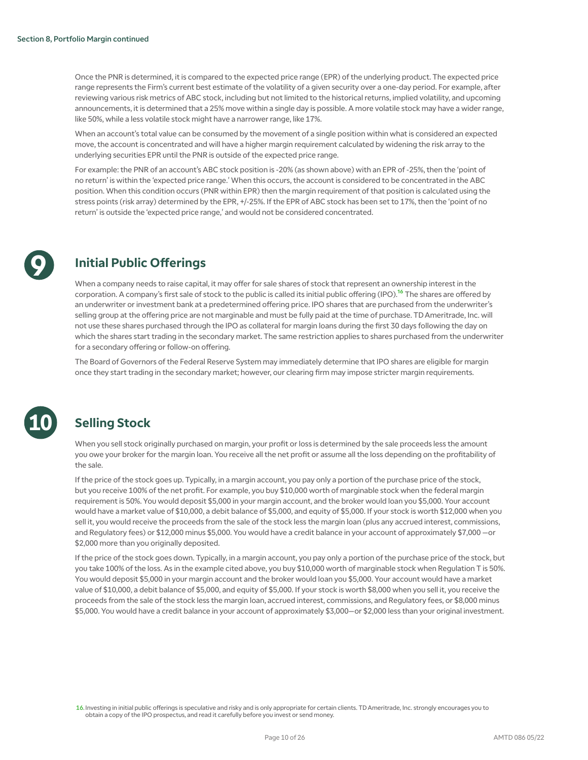Once the PNR is determined, it is compared to the expected price range (EPR) of the underlying product. The expected price range represents the Firm's current best estimate of the volatility of a given security over a one-day period. For example, after reviewing various risk metrics of ABC stock, including but not limited to the historical returns, implied volatility, and upcoming announcements, it is determined that a 25% move within a single day is possible. A more volatile stock may have a wider range, like 50%, while a less volatile stock might have a narrower range, like 17%.

When an account's total value can be consumed by the movement of a single position within what is considered an expected move, the account is concentrated and will have a higher margin requirement calculated by widening the risk array to the underlying securities EPR until the PNR is outside of the expected price range.

For example: the PNR of an account's ABC stock position is -20% (as shown above) with an EPR of -25%, then the 'point of no return' is within the 'expected price range.' When this occurs, the account is considered to be concentrated in the ABC position. When this condition occurs (PNR within EPR) then the margin requirement of that position is calculated using the stress points (risk array) determined by the EPR, +/-25%. If the EPR of ABC stock has been set to 17%, then the 'point of no return' is outside the 'expected price range,' and would not be considered concentrated.



# **Initial Public Offerings**

When a company needs to raise capital, it may offer for sale shares of stock that represent an ownership interest in the corporation. A company's first sale of stock to the public is called its initial public offering (IPO).<sup>16</sup> The shares are offered by an underwriter or investment bank at a predetermined offering price. IPO shares that are purchased from the underwriter's selling group at the offering price are not marginable and must be fully paid at the time of purchase. TD Ameritrade, Inc. will not use these shares purchased through the IPO as collateral for margin loans during the first 30 days following the day on which the shares start trading in the secondary market. The same restriction applies to shares purchased from the underwriter for a secondary offering or follow-on offering.

The Board of Governors of the Federal Reserve System may immediately determine that IPO shares are eligible for margin once they start trading in the secondary market; however, our clearing firm may impose stricter margin requirements.



# **Selling Stock**

When you sell stock originally purchased on margin, your profit or loss is determined by the sale proceeds less the amount you owe your broker for the margin loan. You receive all the net profit or assume all the loss depending on the profitability of the sale.

If the price of the stock goes up. Typically, in a margin account, you pay only a portion of the purchase price of the stock, but you receive 100% of the net profit. For example, you buy \$10,000 worth of marginable stock when the federal margin requirement is 50%. You would deposit \$5,000 in your margin account, and the broker would loan you \$5,000. Your account would have a market value of \$10,000, a debit balance of \$5,000, and equity of \$5,000. If your stock is worth \$12,000 when you sell it, you would receive the proceeds from the sale of the stock less the margin loan (plus any accrued interest, commissions, and Regulatory fees) or \$12,000 minus \$5,000. You would have a credit balance in your account of approximately \$7,000 —or \$2,000 more than you originally deposited.

If the price of the stock goes down. Typically, in a margin account, you pay only a portion of the purchase price of the stock, but you take 100% of the loss. As in the example cited above, you buy \$10,000 worth of marginable stock when Regulation T is 50%. You would deposit \$5,000 in your margin account and the broker would loan you \$5,000. Your account would have a market value of \$10,000, a debit balance of \$5,000, and equity of \$5,000. If your stock is worth \$8,000 when you sell it, you receive the proceeds from the sale of the stock less the margin loan, accrued interest, commissions, and Regulatory fees, or \$8,000 minus \$5,000. You would have a credit balance in your account of approximately \$3,000—or \$2,000 less than your original investment.

16. Investing in initial public offerings is speculative and risky and is only appropriate for certain clients. TD Ameritrade, Inc. strongly encourages you to obtain a copy of the IPO prospectus, and read it carefully before you invest or send money.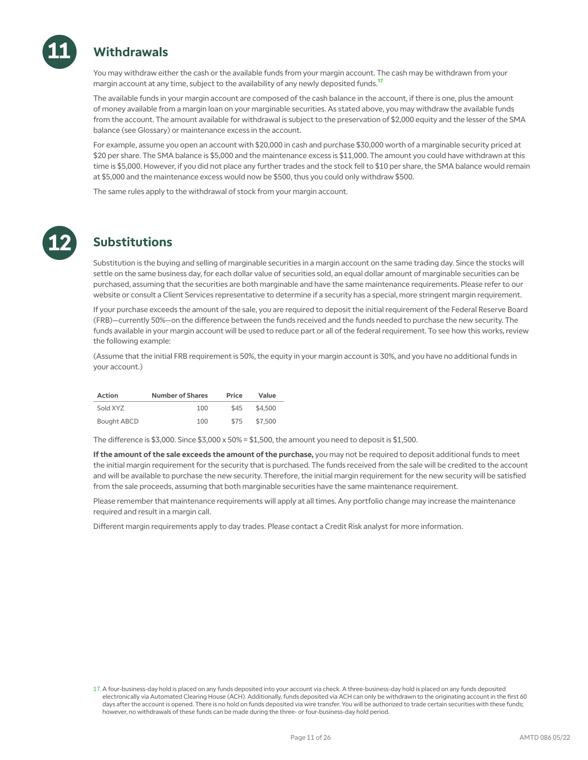

# **Withdrawals**

You may withdraw either the cash or the available funds from your margin account. The cash may be withdrawn from your margin account at any time, subject to the availability of any newly deposited funds.<sup>17</sup>

The available funds in your margin account are composed of the cash balance in the account, if there is one, plus the amount of money available from a margin loan on your marginable securities. As stated above, you may withdraw the available funds from the account. The amount available for withdrawal is subject to the preservation of \$2,000 equity and the lesser of the SMA balance (see Glossary) or maintenance excess in the account.

For example, assume you open an account with \$20,000 in cash and purchase \$30,000 worth of a marginable security priced at \$20 per share. The SMA balance is \$5,000 and the maintenance excess is \$11,000. The amount you could have withdrawn at this time is \$5,000. However, if you did not place any further trades and the stock fell to \$10 per share, the SMA balance would remain at \$5,000 and the maintenance excess would now be \$500, thus you could only withdraw \$500.

The same rules apply to the withdrawal of stock from your margin account.



# **Substitutions**

Substitution is the buying and selling of marginable securities in a margin account on the same trading day. Since the stocks will settle on the same business day, for each dollar value of securities sold, an equal dollar amount of marginable securities can be purchased, assuming that the securities are both marginable and have the same maintenance requirements. Please refer to our website or consult a Client Services representative to determine if a security has a special, more stringent margin requirement.

If your purchase exceeds the amount of the sale, you are required to deposit the initial requirement of the Federal Reserve Board (FRB)—currently 50%—on the difference between the funds received and the funds needed to purchase the new security. The funds available in your margin account will be used to reduce part or all of the federal requirement. To see how this works, review the following example:

(Assume that the initial FRB requirement is 50%, the equity in your margin account is 30%, and you have no additional funds in your account.)

| <b>Action</b>      | <b>Number of Shares</b> | Price | Value   |
|--------------------|-------------------------|-------|---------|
| Sold XYZ           | 100                     | \$45  | \$4.500 |
| <b>Bought ABCD</b> | 100                     | \$75  | \$7,500 |

The difference is  $$3,000$ . Since  $$3,000 \times 50\% = $1,500$ , the amount you need to deposit is \$1,500.

**If the amount of the sale exceeds the amount of the purchase,** you may not be required to deposit additional funds to meet the initial margin requirement for the security that is purchased. The funds received from the sale will be credited to the account and will be available to purchase the new security. Therefore, the initial margin requirement for the new security will be satisfied from the sale proceeds, assuming that both marginable securities have the same maintenance requirement.

Please remember that maintenance requirements will apply at all times. Any portfolio change may increase the maintenance required and result in a margin call.

Different margin requirements apply to day trades. Please contact a Credit Risk analyst for more information.

<sup>17.</sup>A four-business-day hold is placed on any funds deposited into your account via check. A three-business-day hold is placed on any funds deposited electronically via Automated Clearing House (ACH). Additionally, funds deposited via ACH can only be withdrawn to the originating account in the first 60 days after the account is opened. There is no hold on funds deposited via wire transfer. You will be authorized to trade certain securities with these funds; however, no withdrawals of these funds can be made during the three- or four-business-day hold period.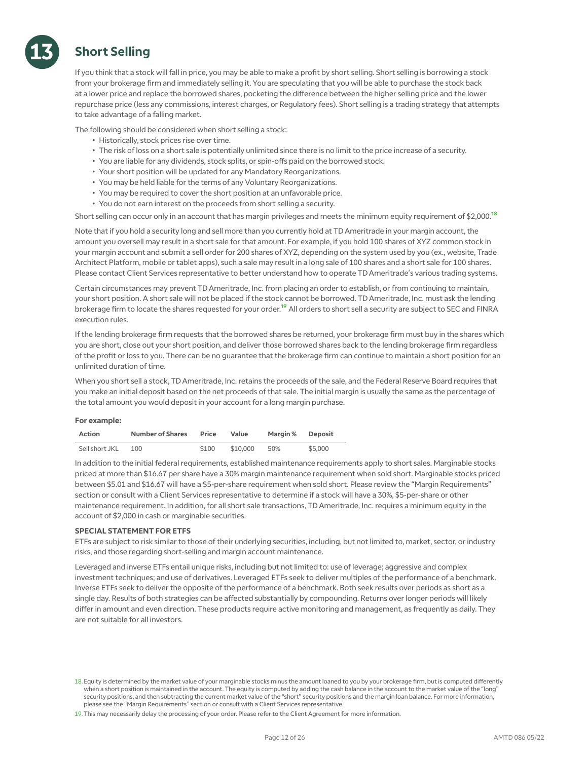# **Short Selling**

**13**

If you think that a stock will fall in price, you may be able to make a profit by short selling. Short selling is borrowing a stock from your brokerage firm and immediately selling it. You are speculating that you will be able to purchase the stock back at a lower price and replace the borrowed shares, pocketing the difference between the higher selling price and the lower repurchase price (less any commissions, interest charges, or Regulatory fees). Short selling is a trading strategy that attempts to take advantage of a falling market.

The following should be considered when short selling a stock:

- Historically, stock prices rise over time.
- The risk of loss on a short sale is potentially unlimited since there is no limit to the price increase of a security.
- You are liable for any dividends, stock splits, or spin-offs paid on the borrowed stock.
- Your short position will be updated for any Mandatory Reorganizations.
- You may be held liable for the terms of any Voluntary Reorganizations.
- You may be required to cover the short position at an unfavorable price.
- You do not earn interest on the proceeds from short selling a security.

Short selling can occur only in an account that has margin privileges and meets the minimum equity requirement of \$2,000.<sup>18</sup>

Note that if you hold a security long and sell more than you currently hold at TD Ameritrade in your margin account, the amount you oversell may result in a short sale for that amount. For example, if you hold 100 shares of XYZ common stock in your margin account and submit a sell order for 200 shares of XYZ, depending on the system used by you (ex., website, Trade Architect Platform, mobile or tablet apps), such a sale may result in a long sale of 100 shares and a short sale for 100 shares. Please contact Client Services representative to better understand how to operate TD Ameritrade's various trading systems.

Certain circumstances may prevent TD Ameritrade, Inc. from placing an order to establish, or from continuing to maintain, your short position. A short sale will not be placed if the stock cannot be borrowed. TD Ameritrade, Inc. must ask the lending brokerage firm to locate the shares requested for your order.<sup>19</sup> All orders to short sell a security are subject to SEC and FINRA execution rules.

If the lending brokerage firm requests that the borrowed shares be returned, your brokerage firm must buy in the shares which you are short, close out your short position, and deliver those borrowed shares back to the lending brokerage firm regardless of the profit or loss to you. There can be no guarantee that the brokerage firm can continue to maintain a short position for an unlimited duration of time.

When you short sell a stock, TD Ameritrade, Inc. retains the proceeds of the sale, and the Federal Reserve Board requires that you make an initial deposit based on the net proceeds of that sale. The initial margin is usually the same as the percentage of the total amount you would deposit in your account for a long margin purchase.

### **For example:**

| <b>Action</b>  | <b>Number of Shares</b> | Price | Value    | Margin % | Deposit |
|----------------|-------------------------|-------|----------|----------|---------|
| Sell short JKL | 100                     | \$100 | \$10,000 | 50%      | \$5,000 |

In addition to the initial federal requirements, established maintenance requirements apply to short sales. Marginable stocks priced at more than \$16.67 per share have a 30% margin maintenance requirement when sold short. Marginable stocks priced between \$5.01 and \$16.67 will have a \$5-per-share requirement when sold short. Please review the "Margin Requirements" section or consult with a Client Services representative to determine if a stock will have a 30%, \$5-per-share or other maintenance requirement. In addition, for all short sale transactions, TD Ameritrade, Inc. requires a minimum equity in the account of \$2,000 in cash or marginable securities.

### **SPECIAL STATEMENT FOR ETFS**

ETFs are subject to risk similar to those of their underlying securities, including, but not limited to, market, sector, or industry risks, and those regarding short-selling and margin account maintenance.

Leveraged and inverse ETFs entail unique risks, including but not limited to: use of leverage; aggressive and complex investment techniques; and use of derivatives. Leveraged ETFs seek to deliver multiples of the performance of a benchmark. Inverse ETFs seek to deliver the opposite of the performance of a benchmark. Both seek results over periods as short as a single day. Results of both strategies can be affected substantially by compounding. Returns over longer periods will likely differ in amount and even direction. These products require active monitoring and management, as frequently as daily. They are not suitable for all investors.

<sup>18.</sup>Equity is determined by the market value of your marginable stocks minus the amount loaned to you by your brokerage firm, but is computed differently when a short position is maintained in the account. The equity is computed by adding the cash balance in the account to the market value of the "long" security positions, and then subtracting the current market value of the "short" security positions and the margin loan balance. For more information, please see the "Margin Requirements" section or consult with a Client Services representative.

<sup>19.</sup>This may necessarily delay the processing of your order. Please refer to the Client Agreement for more information.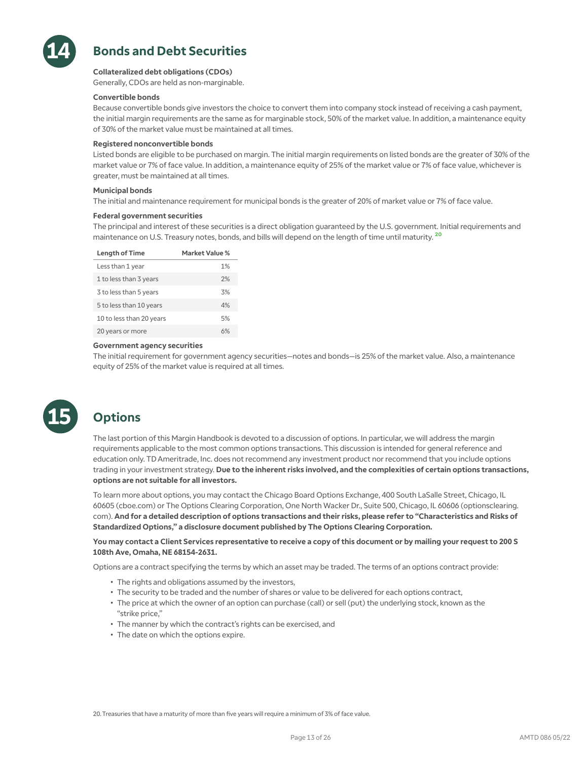

# **Bonds and Debt Securities**

### **Collateralized debt obligations (CDOs)**

Generally, CDOs are held as non-marginable.

### **Convertible bonds**

Because convertible bonds give investors the choice to convert them into company stock instead of receiving a cash payment, the initial margin requirements are the same as for marginable stock, 50% of the market value. In addition, a maintenance equity of 30% of the market value must be maintained at all times.

### **Registered nonconvertible bonds**

Listed bonds are eligible to be purchased on margin. The initial margin requirements on listed bonds are the greater of 30% of the market value or 7% of face value. In addition, a maintenance equity of 25% of the market value or 7% of face value, whichever is greater, must be maintained at all times.

### **Municipal bonds**

The initial and maintenance requirement for municipal bonds is the greater of 20% of market value or 7% of face value.

### **Federal government securities**

The principal and interest of these securities is a direct obligation guaranteed by the U.S. government. Initial requirements and maintenance on U.S. Treasury notes, bonds, and bills will depend on the length of time until maturity. <sup>20</sup>

| <b>Length of Time</b>    | Market Value % |
|--------------------------|----------------|
| Less than 1 year         | 1%             |
| 1 to less than 3 years   | 2%             |
| 3 to less than 5 years   | 3%             |
| 5 to less than 10 years  | 4%             |
| 10 to less than 20 years | 5%             |
| 20 years or more         |                |

### **Government agency securities**

The initial requirement for government agency securities—notes and bonds—is 25% of the market value. Also, a maintenance equity of 25% of the market value is required at all times.



# **Options**

The last portion of this Margin Handbook is devoted to a discussion of options. In particular, we will address the margin requirements applicable to the most common options transactions. This discussion is intended for general reference and education only. TD Ameritrade, Inc. does not recommend any investment product nor recommend that you include options trading in your investment strategy. **Due to the inherent risks involved, and the complexities of certain options transactions, options are not suitable for all investors.**

To learn more about options, you may contact the Chicago Board Options Exchange, 400 South LaSalle Street, Chicago, IL 60605 (cboe.com) or The Options Clearing Corporation, One North Wacker Dr., Suite 500, Chicago, IL 60606 (optionsclearing. com). **And for a detailed description of options transactions and their risks, please refer to "Characteristics and Risks of Standardized Options," a disclosure document published by The Options Clearing Corporation.**

### **You may contact a Client Services representative to receive a copy of this document or by mailing your request to 200 S 108th Ave, Omaha, NE 68154-2631.**

Options are a contract specifying the terms by which an asset may be traded. The terms of an options contract provide:

- The rights and obligations assumed by the investors,
- The security to be traded and the number of shares or value to be delivered for each options contract,
- The price at which the owner of an option can purchase (call) or sell (put) the underlying stock, known as the "strike price,"
- The manner by which the contract's rights can be exercised, and
- The date on which the options expire.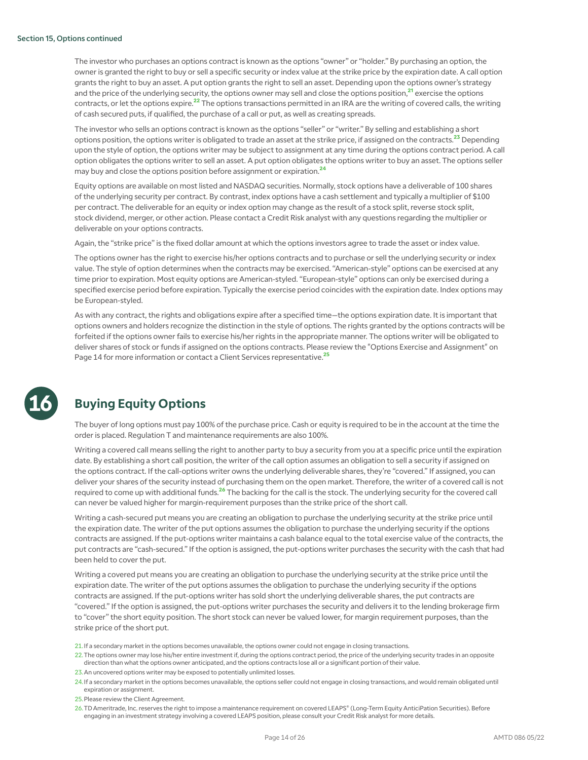The investor who purchases an options contract is known as the options "owner" or "holder." By purchasing an option, the owner is granted the right to buy or sell a specific security or index value at the strike price by the expiration date. A call option grants the right to buy an asset. A put option grants the right to sell an asset. Depending upon the options owner's strategy and the price of the underlying security, the options owner may sell and close the options position, $^{21}$  exercise the options contracts, or let the options expire.<sup>22</sup> The options transactions permitted in an IRA are the writing of covered calls, the writing of cash secured puts, if qualified, the purchase of a call or put, as well as creating spreads.

The investor who sells an options contract is known as the options "seller" or "writer." By selling and establishing a short options position, the options writer is obligated to trade an asset at the strike price, if assigned on the contracts.<sup>23</sup> Depending upon the style of option, the options writer may be subject to assignment at any time during the options contract period. A call option obligates the options writer to sell an asset. A put option obligates the options writer to buy an asset. The options seller may buy and close the options position before assignment or expiration.<sup>24</sup>

Equity options are available on most listed and NASDAQ securities. Normally, stock options have a deliverable of 100 shares of the underlying security per contract. By contrast, index options have a cash settlement and typically a multiplier of \$100 per contract. The deliverable for an equity or index option may change as the result of a stock split, reverse stock split, stock dividend, merger, or other action. Please contact a Credit Risk analyst with any questions regarding the multiplier or deliverable on your options contracts.

Again, the "strike price" is the fixed dollar amount at which the options investors agree to trade the asset or index value.

The options owner has the right to exercise his/her options contracts and to purchase or sell the underlying security or index value. The style of option determines when the contracts may be exercised. "American-style" options can be exercised at any time prior to expiration. Most equity options are American-styled. "European-style" options can only be exercised during a specified exercise period before expiration. Typically the exercise period coincides with the expiration date. Index options may be European-styled.

As with any contract, the rights and obligations expire after a specified time—the options expiration date. It is important that options owners and holders recognize the distinction in the style of options. The rights granted by the options contracts will be forfeited if the options owner fails to exercise his/her rights in the appropriate manner. The options writer will be obligated to deliver shares of stock or funds if assigned on the options contracts. Please review the "Options Exercise and Assignment" on Page 14 for more information or contact a Client Services representative.<sup>25</sup>



# **Buying Equity Options**

The buyer of long options must pay 100% of the purchase price. Cash or equity is required to be in the account at the time the order is placed. Regulation T and maintenance requirements are also 100%.

Writing a covered call means selling the right to another party to buy a security from you at a specific price until the expiration date. By establishing a short call position, the writer of the call option assumes an obligation to sell a security if assigned on the options contract. If the call-options writer owns the underlying deliverable shares, they're "covered." If assigned, you can deliver your shares of the security instead of purchasing them on the open market. Therefore, the writer of a covered call is not required to come up with additional funds.<sup>26</sup> The backing for the call is the stock. The underlying security for the covered call can never be valued higher for margin-requirement purposes than the strike price of the short call.

Writing a cash-secured put means you are creating an obligation to purchase the underlying security at the strike price until the expiration date. The writer of the put options assumes the obligation to purchase the underlying security if the options contracts are assigned. If the put-options writer maintains a cash balance equal to the total exercise value of the contracts, the put contracts are "cash-secured." If the option is assigned, the put-options writer purchases the security with the cash that had been held to cover the put.

Writing a covered put means you are creating an obligation to purchase the underlying security at the strike price until the expiration date. The writer of the put options assumes the obligation to purchase the underlying security if the options contracts are assigned. If the put-options writer has sold short the underlying deliverable shares, the put contracts are "covered." If the option is assigned, the put-options writer purchases the security and delivers it to the lending brokerage firm to "cover" the short equity position. The short stock can never be valued lower, for margin requirement purposes, than the strike price of the short put.

21.If a secondary market in the options becomes unavailable, the options owner could not engage in closing transactions.

22.The options owner may lose his/her entire investment if, during the options contract period, the price of the underlying security trades in an opposite direction than what the options owner anticipated, and the options contracts lose all or a significant portion of their value.

- 23.An uncovered options writer may be exposed to potentially unlimited losses.
- 24.If a secondary market in the options becomes unavailable, the options seller could not engage in closing transactions, and would remain obligated until expiration or assignment.

25.Please review the Client Agreement.

26.TD Ameritrade, Inc. reserves the right to impose a maintenance requirement on covered LEAPS® (Long-Term Equity AnticiPation Securities). Before engaging in an investment strategy involving a covered LEAPS position, please consult your Credit Risk analyst for more details.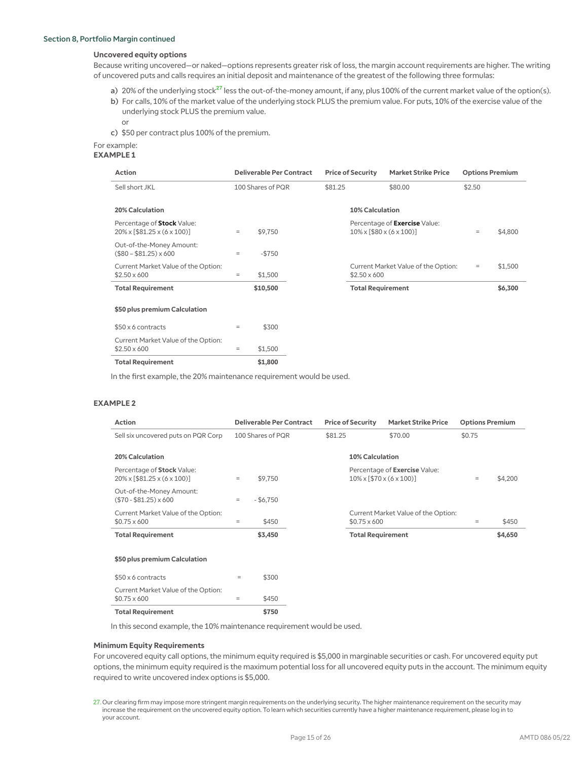### **Uncovered equity options**

Because writing uncovered—or naked—options represents greater risk of loss, the margin account requirements are higher. The writing of uncovered puts and calls requires an initial deposit and maintenance of the greatest of the following three formulas:

a) 20% of the underlying stock<sup>27</sup> less the out-of-the-money amount, if any, plus 100% of the current market value of the option(s). b) For calls, 10% of the market value of the underlying stock PLUS the premium value. For puts, 10% of the exercise value of the underlying stock PLUS the premium value.

or

c) \$50 per contract plus 100% of the premium.

## For example:

|  |  |  | e. |  |  |
|--|--|--|----|--|--|
|  |  |  |    |  |  |

| <b>Action</b>                                                               |          | <b>Deliverable Per Contract</b> |         | <b>Price of Security</b>                  | <b>Market Strike Price</b>          | <b>Options Premium</b> |         |
|-----------------------------------------------------------------------------|----------|---------------------------------|---------|-------------------------------------------|-------------------------------------|------------------------|---------|
| Sell short JKL                                                              |          | 100 Shares of PQR               | \$81.25 |                                           | \$80.00                             | \$2.50                 |         |
| <b>20% Calculation</b>                                                      |          |                                 |         | <b>10% Calculation</b>                    |                                     |                        |         |
| Percentage of Stock Value:<br>$20\% \times [ $81.25 \times (6 \times 100)]$ | $\equiv$ | \$9,750                         |         | $10\% \times [580 \times (6 \times 100)]$ | Percentage of Exercise Value:       | $\equiv$               | \$4,800 |
| Out-of-the-Money Amount:<br>$($80 - $81.25) \times 600$                     | $=$      | $-$ \$750                       |         |                                           |                                     |                        |         |
| Current Market Value of the Option:<br>$$2.50 \times 600$                   | $=$      | \$1,500                         |         | $$2.50 \times 600$                        | Current Market Value of the Option: | $=$                    | \$1,500 |
| <b>Total Requirement</b>                                                    |          | \$10,500                        |         | <b>Total Requirement</b>                  |                                     |                        | \$6,300 |
| \$50 plus premium Calculation                                               |          |                                 |         |                                           |                                     |                        |         |
| \$50 x 6 contracts                                                          | $=$      | \$300                           |         |                                           |                                     |                        |         |
| Current Market Value of the Option:<br>$$2.50 \times 600$                   | $=$      | \$1,500                         |         |                                           |                                     |                        |         |
| <b>Total Requirement</b>                                                    |          | \$1,800                         |         |                                           |                                     |                        |         |

In the first example, the 20% maintenance requirement would be used.

### **EXAMPLE 2**

| <b>Action</b>                                                                           |     | <b>Deliverable Per Contract</b> |         | <b>Price of Security</b>                  | <b>Market Strike Price</b>          | <b>Options Premium</b> |         |
|-----------------------------------------------------------------------------------------|-----|---------------------------------|---------|-------------------------------------------|-------------------------------------|------------------------|---------|
| Sell six uncovered puts on PQR Corp                                                     |     | 100 Shares of PQR               | \$81.25 |                                           | \$70.00                             | \$0.75                 |         |
| 20% Calculation                                                                         |     |                                 |         | <b>10% Calculation</b>                    |                                     |                        |         |
| Percentage of Stock Value:<br>$20\% \times \left[ $81.25 \times (6 \times 100) \right]$ | $=$ | \$9,750                         |         | $10\% \times [570 \times (6 \times 100)]$ | Percentage of Exercise Value:       | $=$                    | \$4,200 |
| Out-of-the-Money Amount:<br>$($70 - $81.25) \times 600$                                 | $=$ | $-$ \$6,750                     |         |                                           |                                     |                        |         |
| Current Market Value of the Option:<br>$$0.75 \times 600$                               | $=$ | \$450                           |         | $$0.75 \times 600$                        | Current Market Value of the Option: | $=$                    | \$450   |
| <b>Total Requirement</b>                                                                |     | \$3,450                         |         | <b>Total Requirement</b>                  |                                     |                        | \$4,650 |
| \$50 plus premium Calculation                                                           |     |                                 |         |                                           |                                     |                        |         |
| \$50 x 6 contracts                                                                      | $=$ | \$300                           |         |                                           |                                     |                        |         |
| Current Market Value of the Option:<br>$$0.75 \times 600$                               | $=$ | \$450                           |         |                                           |                                     |                        |         |
| <b>Total Requirement</b>                                                                |     | \$750                           |         |                                           |                                     |                        |         |

In this second example, the 10% maintenance requirement would be used.

### **Minimum Equity Requirements**

For uncovered equity call options, the minimum equity required is \$5,000 in marginable securities or cash. For uncovered equity put options, the minimum equity required is the maximum potential loss for all uncovered equity puts in the account. The minimum equity required to write uncovered index options is \$5,000.

<sup>27.</sup>Our clearing firm may impose more stringent margin requirements on the underlying security. The higher maintenance requirement on the security may increase the requirement on the uncovered equity option. To learn which securities currently have a higher maintenance requirement, please log in to your account.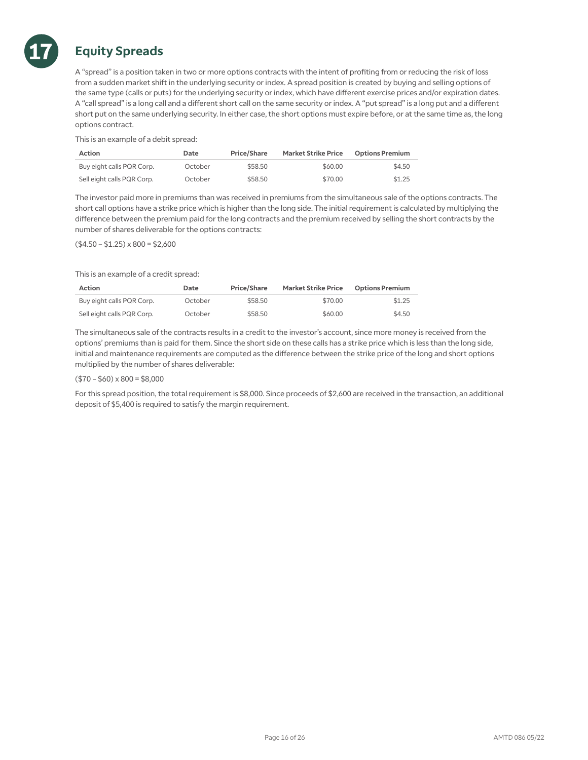

# **Equity Spreads**

A "spread" is a position taken in two or more options contracts with the intent of profiting from or reducing the risk of loss from a sudden market shift in the underlying security or index. A spread position is created by buying and selling options of the same type (calls or puts) for the underlying security or index, which have different exercise prices and/or expiration dates. A "call spread" is a long call and a different short call on the same security or index. A "put spread" is a long put and a different short put on the same underlying security. In either case, the short options must expire before, or at the same time as, the long options contract.

This is an example of a debit spread:

| <b>Action</b>              | Date    | <b>Price/Share</b> | <b>Market Strike Price</b> | <b>Options Premium</b> |
|----------------------------|---------|--------------------|----------------------------|------------------------|
| Buy eight calls PQR Corp.  | October | \$58.50            | \$60.00                    | \$4.50                 |
| Sell eight calls PQR Corp. | October | \$58.50            | \$70.00                    | \$1.25                 |

The investor paid more in premiums than was received in premiums from the simultaneous sale of the options contracts. The short call options have a strike price which is higher than the long side. The initial requirement is calculated by multiplying the difference between the premium paid for the long contracts and the premium received by selling the short contracts by the number of shares deliverable for the options contracts:

 $($4.50 - $1.25) \times 800 = $2,600$ 

This is an example of a credit spread:

| <b>Action</b>              | Date    | <b>Price/Share</b> | <b>Market Strike Price</b> | <b>Options Premium</b> |
|----------------------------|---------|--------------------|----------------------------|------------------------|
| Buy eight calls PQR Corp.  | October | \$58.50            | \$70.00                    | \$1.25                 |
| Sell eight calls PQR Corp. | October | \$58.50            | \$60.00                    | \$4.50                 |

The simultaneous sale of the contracts results in a credit to the investor's account, since more money is received from the options' premiums than is paid for them. Since the short side on these calls has a strike price which is less than the long side, initial and maintenance requirements are computed as the difference between the strike price of the long and short options multiplied by the number of shares deliverable:

### $($70 - $60) \times 800 = $8,000$

For this spread position, the total requirement is \$8,000. Since proceeds of \$2,600 are received in the transaction, an additional deposit of \$5,400 is required to satisfy the margin requirement.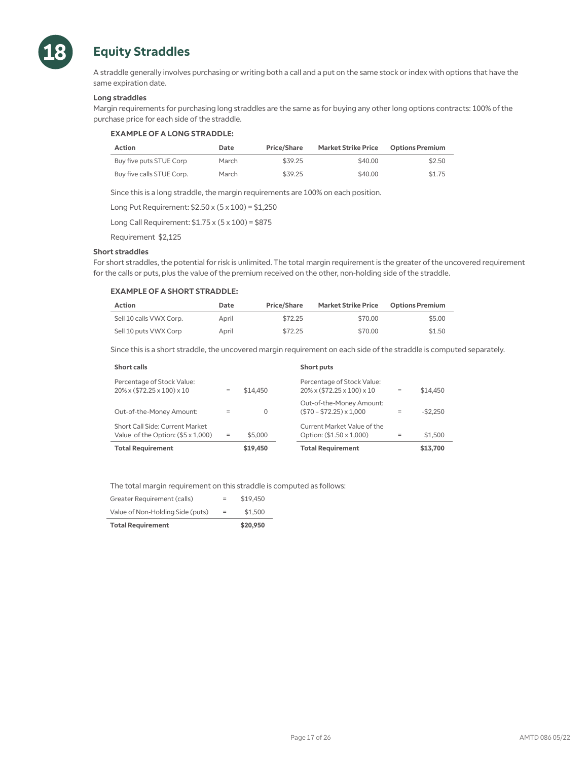

# **Equity Straddles**

A straddle generally involves purchasing or writing both a call and a put on the same stock or index with options that have the same expiration date.

### **Long straddles**

Margin requirements for purchasing long straddles are the same as for buying any other long options contracts: 100% of the purchase price for each side of the straddle.

### **EXAMPLE OF A LONG STRADDLE:**

| <b>Action</b>             | Date  | <b>Price/Share</b> | <b>Market Strike Price</b> | <b>Options Premium</b> |
|---------------------------|-------|--------------------|----------------------------|------------------------|
| Buy five puts STUE Corp   | March | \$39.25            | \$40.00                    | \$2.50                 |
| Buy five calls STUE Corp. | March | \$39.25            | \$40.00                    | \$1.75                 |

Since this is a long straddle, the margin requirements are 100% on each position.

Long Put Requirement: \$2.50 x (5 x 100) = \$1,250

Long Call Requirement: \$1.75 x (5 x 100) = \$875

Requirement \$2,125

### **Short straddles**

For short straddles, the potential for risk is unlimited. The total margin requirement is the greater of the uncovered requirement for the calls or puts, plus the value of the premium received on the other, non-holding side of the straddle.

### **EXAMPLE OF A SHORT STRADDLE:**

| <b>Action</b>           | Date  | Price/Share | <b>Market Strike Price</b> | <b>Options Premium</b> |
|-------------------------|-------|-------------|----------------------------|------------------------|
| Sell 10 calls VWX Corp. | April | \$72.25     | \$70.00                    | \$5.00                 |
| Sell 10 puts VWX Corp   | April | \$72.25     | \$70.00                    | \$1.50                 |

Since this is a short straddle, the uncovered margin requirement on each side of the straddle is computed separately.

| Short calls                                                               |     |          | Short puts                                                                       |           |
|---------------------------------------------------------------------------|-----|----------|----------------------------------------------------------------------------------|-----------|
| Percentage of Stock Value:<br>$20\% \times (572.25 \times 100) \times 10$ | $=$ | \$14,450 | Percentage of Stock Value:<br>$20\% \times (572.25 \times 100) \times 10$<br>$=$ | \$14,450  |
| Out-of-the-Money Amount:                                                  | $=$ | $\Omega$ | Out-of-the-Money Amount:<br>$($70 - $72.25) \times 1.000$<br>$=$                 | $-$2,250$ |
| Short Call Side: Current Market<br>Value of the Option: (\$5 x 1,000)     | $=$ | \$5,000  | Current Market Value of the<br>Option: (\$1.50 x 1,000)<br>$=$                   | \$1,500   |
| <b>Total Requirement</b>                                                  |     | \$19,450 | <b>Total Requirement</b>                                                         | \$13,700  |

The total margin requirement on this straddle is computed as follows:

| <b>Total Requirement</b>         |     | \$20,950 |
|----------------------------------|-----|----------|
| Value of Non-Holding Side (puts) | $=$ | \$1,500  |
| Greater Requirement (calls)      | $=$ | \$19,450 |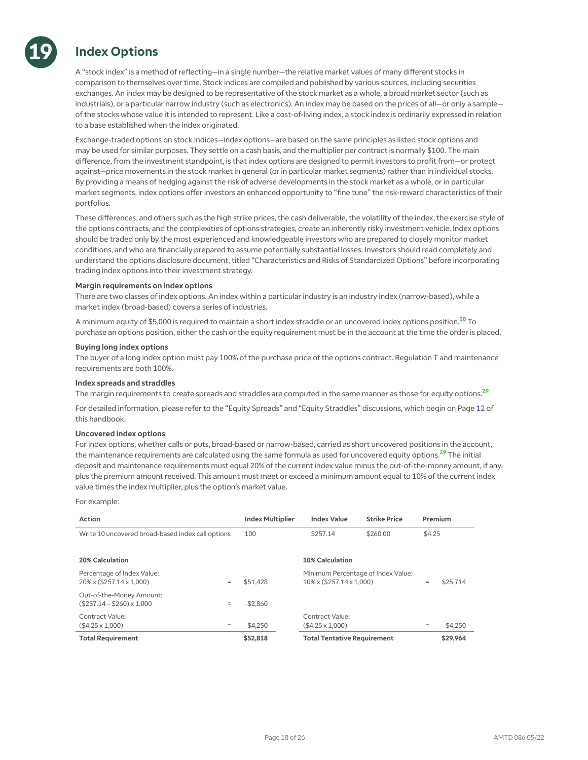# **Index Options**

**19**

A "stock index" is a method of reflecting—in a single number—the relative market values of many different stocks in comparison to themselves over time. Stock indices are compiled and published by various sources, including securities exchanges. An index may be designed to be representative of the stock market as a whole, a broad market sector (such as industrials), or a particular narrow industry (such as electronics). An index may be based on the prices of all—or only a sample of the stocks whose value it is intended to represent. Like a cost-of-living index, a stock index is ordinarily expressed in relation to a base established when the index originated.

Exchange-traded options on stock indices—index options—are based on the same principles as listed stock options and may be used for similar purposes. They settle on a cash basis, and the multiplier per contract is normally \$100. The main difference, from the investment standpoint, is that index options are designed to permit investors to profit from—or protect against—price movements in the stock market in general (or in particular market segments) rather than in individual stocks. By providing a means of hedging against the risk of adverse developments in the stock market as a whole, or in particular market segments, index options offer investors an enhanced opportunity to "fine tune" the risk-reward characteristics of their portfolios.

These differences, and others such as the high strike prices, the cash deliverable, the volatility of the index, the exercise style of the options contracts, and the complexities of options strategies, create an inherently risky investment vehicle. Index options should be traded only by the most experienced and knowledgeable investors who are prepared to closely monitor market conditions, and who are financially prepared to assume potentially substantial losses. Investors should read completely and understand the options disclosure document, titled "Characteristics and Risks of Standardized Options" before incorporating trading index options into their investment strategy.

### **Margin requirements on index options**

There are two classes of index options. An index within a particular industry is an industry index (narrow-based), while a market index (broad-based) covers a series of industries.

A minimum equity of \$5,000 is required to maintain a short index straddle or an uncovered index options position.<sup>28</sup> To purchase an options position, either the cash or the equity requirement must be in the account at the time the order is placed.

### **Buying long index options**

The buyer of a long index option must pay 100% of the purchase price of the options contract. Regulation T and maintenance requirements are both 100%.

### **Index spreads and straddles**

The margin requirements to create spreads and straddles are computed in the same manner as those for equity options.<sup>29</sup>

For detailed information, please refer to the "Equity Spreads" and "Equity Straddles" discussions, which begin on Page 12 of this handbook.

### **Uncovered index options**

For index options, whether calls or puts, broad-based or narrow-based, carried as short uncovered positions in the account, the maintenance requirements are calculated using the same formula as used for uncovered equity options.<sup>29</sup> The initial deposit and maintenance requirements must equal 20% of the current index value minus the out-of-the-money amount, if any, plus the premium amount received. This amount must meet or exceed a minimum amount equal to 10% of the current index value times the index multiplier, plus the option's market value.

For example:

| <b>Action</b>                                                     |          | <b>Index Multiplier</b> | <b>Index Value</b>                                                        | <b>Strike Price</b> | Premium |          |
|-------------------------------------------------------------------|----------|-------------------------|---------------------------------------------------------------------------|---------------------|---------|----------|
| Write 10 uncovered broad-based index call options                 |          | 100                     | \$257.14                                                                  | \$260.00            | \$4.25  |          |
| <b>20% Calculation</b>                                            |          |                         | <b>10% Calculation</b>                                                    |                     |         |          |
| Percentage of Index Value:<br>$20\% \times (257.14 \times 1.000)$ | $\equiv$ | \$51,428                | Minimum Percentage of Index Value:<br>$10\% \times (257.14 \times 1.000)$ |                     | $=$     | \$25,714 |
| Out-of-the-Money Amount:<br>$($257.14 - $260) \times 1,000$       | $\equiv$ | $-$ \$2,860             |                                                                           |                     |         |          |
| Contract Value:<br>$( $4.25 \times 1.000)$                        | $\equiv$ | \$4,250                 | Contract Value:<br>$($4.25 \times 1.000)$                                 |                     | $=$     | \$4,250  |
| <b>Total Requirement</b>                                          |          | \$52,818                | <b>Total Tentative Requirement</b>                                        |                     |         | \$29,964 |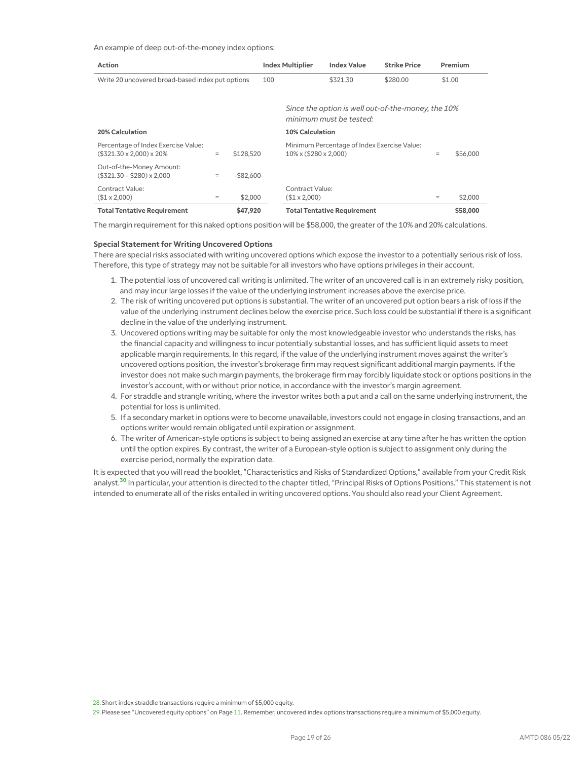### An example of deep out-of-the-money index options:

| <b>Action</b>                                                               |     |              | <b>Index Multiplier</b> |                                        | <b>Index Value</b>                          | <b>Strike Price</b>                                | Premium |          |
|-----------------------------------------------------------------------------|-----|--------------|-------------------------|----------------------------------------|---------------------------------------------|----------------------------------------------------|---------|----------|
| Write 20 uncovered broad-based index put options                            |     |              |                         |                                        | \$321.30                                    | \$280.00                                           |         | \$1.00   |
|                                                                             |     |              |                         |                                        | minimum must be tested:                     | Since the option is well out-of-the-money, the 10% |         |          |
| <b>20% Calculation</b>                                                      |     |              |                         | <b>10% Calculation</b>                 |                                             |                                                    |         |          |
| Percentage of Index Exercise Value:<br>$($321.30 \times 2.000) \times 20\%$ | $=$ | \$128,520    |                         | $10\% \times (280 \times 2.000)$       | Minimum Percentage of Index Exercise Value: |                                                    | $=$     | \$56,000 |
| Out-of-the-Money Amount:<br>$($321.30 - $280) \times 2.000$                 | ÷,  | $-$ \$82.600 |                         |                                        |                                             |                                                    |         |          |
| Contract Value:<br>$($1 \times 2,000)$                                      | $=$ | \$2,000      |                         | Contract Value:<br>$($1 \times 2,000)$ |                                             |                                                    | $=$     | \$2,000  |
| <b>Total Tentative Requirement</b>                                          |     | \$47,920     |                         |                                        | <b>Total Tentative Requirement</b>          |                                                    |         | \$58,000 |

The margin requirement for this naked options position will be \$58,000, the greater of the 10% and 20% calculations.

### **Special Statement for Writing Uncovered Options**

There are special risks associated with writing uncovered options which expose the investor to a potentially serious risk of loss. Therefore, this type of strategy may not be suitable for all investors who have options privileges in their account.

- 1. The potential loss of uncovered call writing is unlimited. The writer of an uncovered call is in an extremely risky position, and may incur large losses if the value of the underlying instrument increases above the exercise price.
- 2. The risk of writing uncovered put options is substantial. The writer of an uncovered put option bears a risk of loss if the value of the underlying instrument declines below the exercise price. Such loss could be substantial if there is a significant decline in the value of the underlying instrument.
- 3. Uncovered options writing may be suitable for only the most knowledgeable investor who understands the risks, has the financial capacity and willingness to incur potentially substantial losses, and has sufficient liquid assets to meet applicable margin requirements. In this regard, if the value of the underlying instrument moves against the writer's uncovered options position, the investor's brokerage firm may request significant additional margin payments. If the investor does not make such margin payments, the brokerage firm may forcibly liquidate stock or options positions in the investor's account, with or without prior notice, in accordance with the investor's margin agreement.
- 4. For straddle and strangle writing, where the investor writes both a put and a call on the same underlying instrument, the potential for loss is unlimited.
- 5. If a secondary market in options were to become unavailable, investors could not engage in closing transactions, and an options writer would remain obligated until expiration or assignment.
- 6. The writer of American-style options is subject to being assigned an exercise at any time after he has written the option until the option expires. By contrast, the writer of a European-style option is subject to assignment only during the exercise period, normally the expiration date.

It is expected that you will read the booklet, "Characteristics and Risks of Standardized Options," available from your Credit Risk analyst.<sup>30</sup> In particular, your attention is directed to the chapter titled, "Principal Risks of Options Positions." This statement is not intended to enumerate all of the risks entailed in writing uncovered options. You should also read your Client Agreement.

28. Short index straddle transactions require a minimum of \$5,000 equity.

29.Please see "Uncovered equity options" on Page 11. Remember, uncovered index options transactions require a minimum of \$5,000 equity.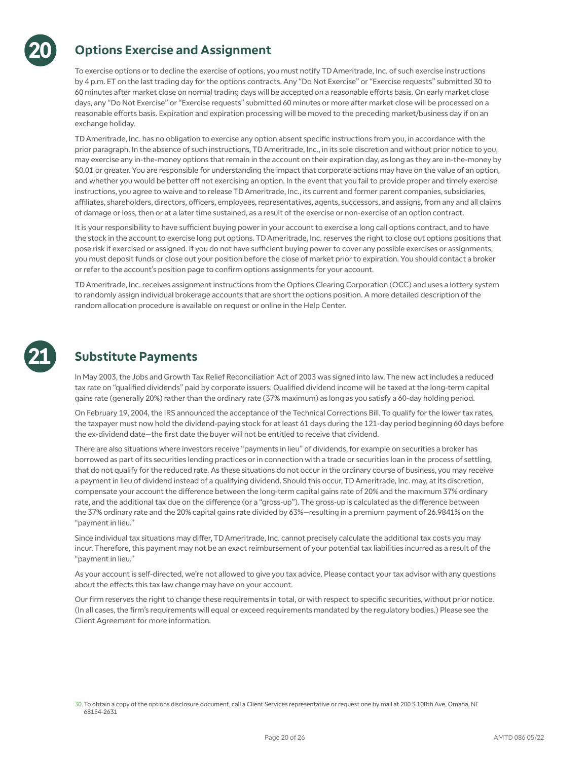

# **Options Exercise and Assignment**

To exercise options or to decline the exercise of options, you must notify TD Ameritrade, Inc. of such exercise instructions by 4 p.m. ET on the last trading day for the options contracts. Any "Do Not Exercise" or "Exercise requests" submitted 30 to 60 minutes after market close on normal trading days will be accepted on a reasonable efforts basis. On early market close days, any "Do Not Exercise" or "Exercise requests" submitted 60 minutes or more after market close will be processed on a reasonable efforts basis. Expiration and expiration processing will be moved to the preceding market/business day if on an exchange holiday.

TD Ameritrade, Inc. has no obligation to exercise any option absent specific instructions from you, in accordance with the prior paragraph. In the absence of such instructions, TD Ameritrade, Inc., in its sole discretion and without prior notice to you, may exercise any in-the-money options that remain in the account on their expiration day, as long as they are in-the-money by \$0.01 or greater. You are responsible for understanding the impact that corporate actions may have on the value of an option, and whether you would be better off not exercising an option. In the event that you fail to provide proper and timely exercise instructions, you agree to waive and to release TD Ameritrade, Inc., its current and former parent companies, subsidiaries, affiliates, shareholders, directors, officers, employees, representatives, agents, successors, and assigns, from any and all claims of damage or loss, then or at a later time sustained, as a result of the exercise or non-exercise of an option contract.

It is your responsibility to have sufficient buying power in your account to exercise a long call options contract, and to have the stock in the account to exercise long put options. TD Ameritrade, Inc. reserves the right to close out options positions that pose risk if exercised or assigned. If you do not have sufficient buying power to cover any possible exercises or assignments, you must deposit funds or close out your position before the close of market prior to expiration. You should contact a broker or refer to the account's position page to confirm options assignments for your account.

TD Ameritrade, Inc. receives assignment instructions from the Options Clearing Corporation (OCC) and uses a lottery system to randomly assign individual brokerage accounts that are short the options position. A more detailed description of the random allocation procedure is available on request or online in the Help Center.



# **Substitute Payments**

In May 2003, the Jobs and Growth Tax Relief Reconciliation Act of 2003 was signed into law. The new act includes a reduced tax rate on "qualified dividends" paid by corporate issuers. Qualified dividend income will be taxed at the long-term capital gains rate (generally 20%) rather than the ordinary rate (37% maximum) as long as you satisfy a 60-day holding period.

On February 19, 2004, the IRS announced the acceptance of the Technical Corrections Bill. To qualify for the lower tax rates, the taxpayer must now hold the dividend-paying stock for at least 61 days during the 121-day period beginning 60 days before the ex-dividend date—the first date the buyer will not be entitled to receive that dividend.

There are also situations where investors receive "payments in lieu" of dividends, for example on securities a broker has borrowed as part of its securities lending practices or in connection with a trade or securities loan in the process of settling, that do not qualify for the reduced rate. As these situations do not occur in the ordinary course of business, you may receive a payment in lieu of dividend instead of a qualifying dividend. Should this occur, TD Ameritrade, Inc. may, at its discretion, compensate your account the difference between the long-term capital gains rate of 20% and the maximum 37% ordinary rate, and the additional tax due on the difference (or a "gross-up"). The gross-up is calculated as the difference between the 37% ordinary rate and the 20% capital gains rate divided by 63%—resulting in a premium payment of 26.9841% on the "payment in lieu."

Since individual tax situations may differ, TD Ameritrade, Inc. cannot precisely calculate the additional tax costs you may incur. Therefore, this payment may not be an exact reimbursement of your potential tax liabilities incurred as a result of the "payment in lieu."

As your account is self-directed, we're not allowed to give you tax advice. Please contact your tax advisor with any questions about the effects this tax law change may have on your account.

Our firm reserves the right to change these requirements in total, or with respect to specific securities, without prior notice. (In all cases, the firm's requirements will equal or exceed requirements mandated by the regulatory bodies.) Please see the Client Agreement for more information.

<sup>30.</sup>To obtain a copy of the options disclosure document, call a Client Services representative or request one by mail at 200 S 108th Ave, Omaha, NE 68154-2631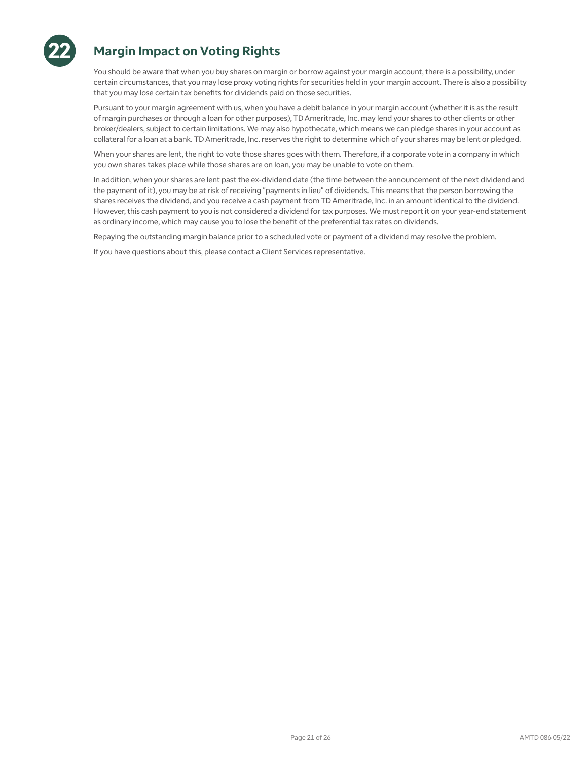

# **Margin Impact on Voting Rights**

You should be aware that when you buy shares on margin or borrow against your margin account, there is a possibility, under certain circumstances, that you may lose proxy voting rights for securities held in your margin account. There is also a possibility that you may lose certain tax benefits for dividends paid on those securities.

Pursuant to your margin agreement with us, when you have a debit balance in your margin account (whether it is as the result of margin purchases or through a loan for other purposes), TD Ameritrade, Inc. may lend your shares to other clients or other broker/dealers, subject to certain limitations. We may also hypothecate, which means we can pledge shares in your account as collateral for a loan at a bank. TD Ameritrade, Inc. reserves the right to determine which of your shares may be lent or pledged.

When your shares are lent, the right to vote those shares goes with them. Therefore, if a corporate vote in a company in which you own shares takes place while those shares are on loan, you may be unable to vote on them.

In addition, when your shares are lent past the ex-dividend date (the time between the announcement of the next dividend and the payment of it), you may be at risk of receiving "payments in lieu" of dividends. This means that the person borrowing the shares receives the dividend, and you receive a cash payment from TD Ameritrade, Inc. in an amount identical to the dividend. However, this cash payment to you is not considered a dividend for tax purposes. We must report it on your year-end statement as ordinary income, which may cause you to lose the benefit of the preferential tax rates on dividends.

Repaying the outstanding margin balance prior to a scheduled vote or payment of a dividend may resolve the problem.

If you have questions about this, please contact a Client Services representative.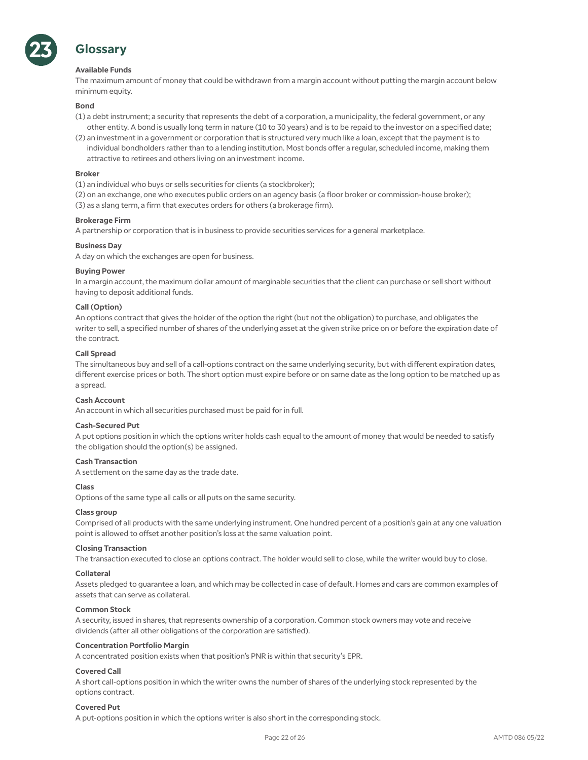

# **Glossary**

### **Available Funds**

The maximum amount of money that could be withdrawn from a margin account without putting the margin account below minimum equity.

### **Bond**

- (1) a debt instrument; a security that represents the debt of a corporation, a municipality, the federal government, or any other entity. A bond is usually long term in nature (10 to 30 years) and is to be repaid to the investor on a specified date;
- (2) an investment in a government or corporation that is structured very much like a loan, except that the payment is to individual bondholders rather than to a lending institution. Most bonds offer a regular, scheduled income, making them attractive to retirees and others living on an investment income.

### **Broker**

- (1) an individual who buys or sells securities for clients (a stockbroker);
- (2) on an exchange, one who executes public orders on an agency basis (a floor broker or commission-house broker);
- (3) as a slang term, a firm that executes orders for others (a brokerage firm).

### **Brokerage Firm**

A partnership or corporation that is in business to provide securities services for a general marketplace.

### **Business Day**

A day on which the exchanges are open for business.

### **Buying Power**

In a margin account, the maximum dollar amount of marginable securities that the client can purchase or sell short without having to deposit additional funds.

### **Call (Option)**

An options contract that gives the holder of the option the right (but not the obligation) to purchase, and obligates the writer to sell, a specified number of shares of the underlying asset at the given strike price on or before the expiration date of the contract.

### **Call Spread**

The simultaneous buy and sell of a call-options contract on the same underlying security, but with different expiration dates, different exercise prices or both. The short option must expire before or on same date as the long option to be matched up as a spread.

### **Cash Account**

An account in which all securities purchased must be paid for in full.

### **Cash-Secured Put**

A put options position in which the options writer holds cash equal to the amount of money that would be needed to satisfy the obligation should the option(s) be assigned.

### **Cash Transaction**

A settlement on the same day as the trade date.

### **Class**

Options of the same type all calls or all puts on the same security.

### **Class group**

Comprised of all products with the same underlying instrument. One hundred percent of a position's gain at any one valuation point is allowed to offset another position's loss at the same valuation point.

### **Closing Transaction**

The transaction executed to close an options contract. The holder would sell to close, while the writer would buy to close.

### **Collateral**

Assets pledged to guarantee a loan, and which may be collected in case of default. Homes and cars are common examples of assets that can serve as collateral.

### **Common Stock**

A security, issued in shares, that represents ownership of a corporation. Common stock owners may vote and receive dividends (after all other obligations of the corporation are satisfied).

### **Concentration Portfolio Margin**

A concentrated position exists when that position's PNR is within that security's EPR.

### **Covered Call**

A short call-options position in which the writer owns the number of shares of the underlying stock represented by the options contract.

### **Covered Put**

A put-options position in which the options writer is also short in the corresponding stock.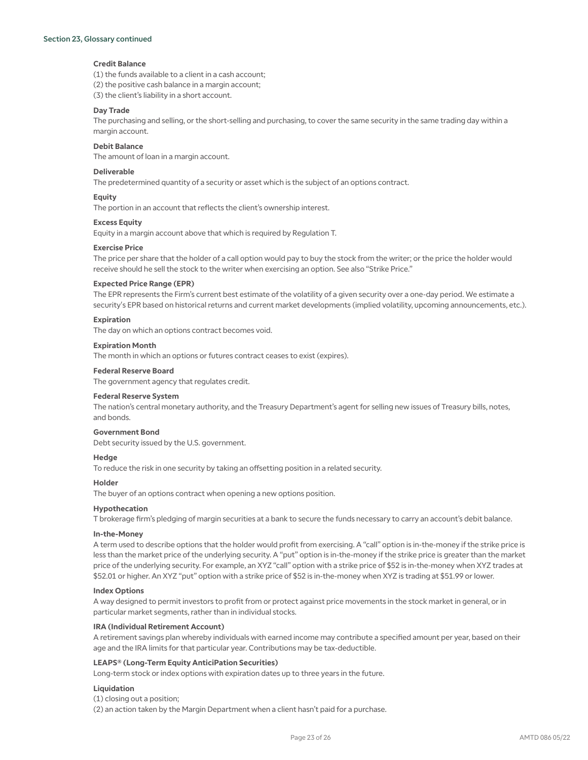### Section 23, Glossary continued

### **Credit Balance**

(1) the funds available to a client in a cash account; (2) the positive cash balance in a margin account;

(3) the client's liability in a short account.

### **Day Trade**

The purchasing and selling, or the short-selling and purchasing, to cover the same security in the same trading day within a margin account.

### **Debit Balance**

The amount of loan in a margin account.

### **Deliverable**

The predetermined quantity of a security or asset which is the subject of an options contract.

### **Equity**

The portion in an account that reflects the client's ownership interest.

### **Excess Equity**

Equity in a margin account above that which is required by Regulation T.

### **Exercise Price**

The price per share that the holder of a call option would pay to buy the stock from the writer; or the price the holder would receive should he sell the stock to the writer when exercising an option. See also "Strike Price."

### **Expected Price Range (EPR)**

The EPR represents the Firm's current best estimate of the volatility of a given security over a one-day period. We estimate a security's EPR based on historical returns and current market developments (implied volatility, upcoming announcements, etc.).

### **Expiration**

The day on which an options contract becomes void.

### **Expiration Month**

The month in which an options or futures contract ceases to exist (expires).

### **Federal Reserve Board**

The government agency that regulates credit.

### **Federal Reserve System**

The nation's central monetary authority, and the Treasury Department's agent for selling new issues of Treasury bills, notes, and bonds.

### **Government Bond**

Debt security issued by the U.S. government.

### **Hedge**

To reduce the risk in one security by taking an offsetting position in a related security.

### **Holder**

The buyer of an options contract when opening a new options position.

### **Hypothecation**

T brokerage firm's pledging of margin securities at a bank to secure the funds necessary to carry an account's debit balance.

### **In-the-Money**

A term used to describe options that the holder would profit from exercising. A "call" option is in-the-money if the strike price is less than the market price of the underlying security. A "put" option is in-the-money if the strike price is greater than the market price of the underlying security. For example, an XYZ "call" option with a strike price of \$52 is in-the-money when XYZ trades at \$52.01 or higher. An XYZ "put" option with a strike price of \$52 is in-the-money when XYZ is trading at \$51.99 or lower.

### **Index Options**

A way designed to permit investors to profit from or protect against price movements in the stock market in general, or in particular market segments, rather than in individual stocks.

### **IRA (Individual Retirement Account)**

A retirement savings plan whereby individuals with earned income may contribute a specified amount per year, based on their age and the IRA limits for that particular year. Contributions may be tax-deductible.

### **LEAPS® (Long-Term Equity AnticiPation Securities)**

Long-term stock or index options with expiration dates up to three years in the future.

### **Liquidation**

(1) closing out a position;

(2) an action taken by the Margin Department when a client hasn't paid for a purchase.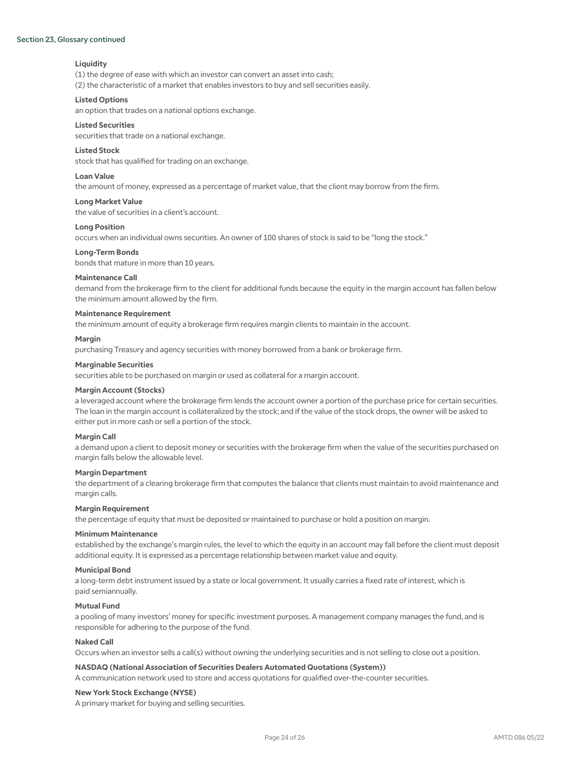### Section 23, Glossary continued

### **Liquidity**

(1) the degree of ease with which an investor can convert an asset into cash;

(2) the characteristic of a market that enables investors to buy and sell securities easily.

### **Listed Options**

an option that trades on a national options exchange.

### **Listed Securities**

securities that trade on a national exchange.

### **Listed Stock**

stock that has qualified for trading on an exchange.

### **Loan Value**

the amount of money, expressed as a percentage of market value, that the client may borrow from the firm.

### **Long Market Value**

the value of securities in a client's account.

### **Long Position**

occurs when an individual owns securities. An owner of 100 shares of stock is said to be "long the stock."

### **Long-Term Bonds**

bonds that mature in more than 10 years.

### **Maintenance Call**

demand from the brokerage firm to the client for additional funds because the equity in the margin account has fallen below the minimum amount allowed by the firm.

### **Maintenance Requirement**

the minimum amount of equity a brokerage firm requires margin clients to maintain in the account.

### **Margin**

purchasing Treasury and agency securities with money borrowed from a bank or brokerage firm.

### **Marginable Securities**

securities able to be purchased on margin or used as collateral for a margin account.

### **Margin Account (Stocks)**

a leveraged account where the brokerage firm lends the account owner a portion of the purchase price for certain securities. The loan in the margin account is collateralized by the stock; and if the value of the stock drops, the owner will be asked to either put in more cash or sell a portion of the stock.

### **Margin Call**

a demand upon a client to deposit money or securities with the brokerage firm when the value of the securities purchased on margin falls below the allowable level.

### **Margin Department**

the department of a clearing brokerage firm that computes the balance that clients must maintain to avoid maintenance and margin calls.

### **Margin Requirement**

the percentage of equity that must be deposited or maintained to purchase or hold a position on margin.

### **Minimum Maintenance**

established by the exchange's margin rules, the level to which the equity in an account may fall before the client must deposit additional equity. It is expressed as a percentage relationship between market value and equity.

### **Municipal Bond**

a long-term debt instrument issued by a state or local government. It usually carries a fixed rate of interest, which is paid semiannually.

### **Mutual Fund**

a pooling of many investors' money for specific investment purposes. A management company manages the fund, and is responsible for adhering to the purpose of the fund.

### **Naked Call**

Occurs when an investor sells a call(s) without owning the underlying securities and is not selling to close out a position.

### **NASDAQ (National Association of Securities Dealers Automated Quotations (System))**

A communication network used to store and access quotations for qualified over-the-counter securities.

### **New York Stock Exchange (NYSE)**

A primary market for buying and selling securities.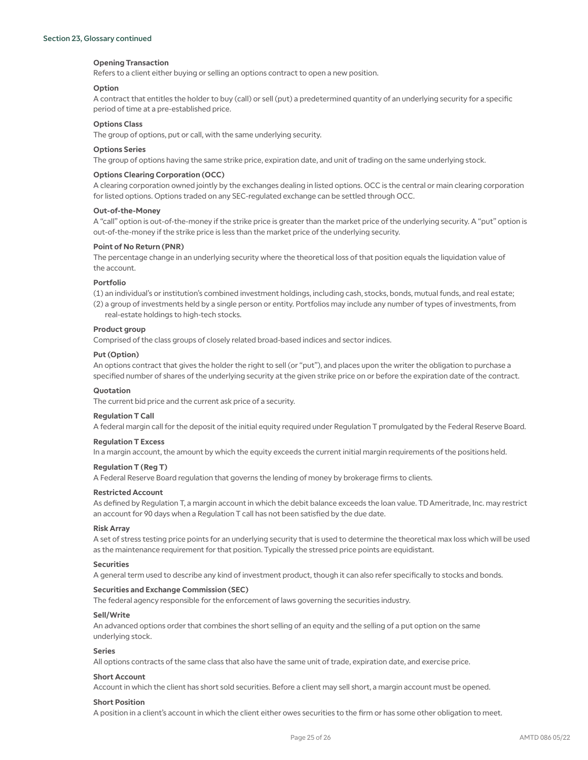### **Opening Transaction**

Refers to a client either buying or selling an options contract to open a new position.

### **Option**

A contract that entitles the holder to buy (call) or sell (put) a predetermined quantity of an underlying security for a specific period of time at a pre-established price.

### **Options Class**

The group of options, put or call, with the same underlying security.

### **Options Series**

The group of options having the same strike price, expiration date, and unit of trading on the same underlying stock.

### **Options Clearing Corporation (OCC)**

A clearing corporation owned jointly by the exchanges dealing in listed options. OCC is the central or main clearing corporation for listed options. Options traded on any SEC-regulated exchange can be settled through OCC.

### **Out-of-the-Money**

A "call" option is out-of-the-money if the strike price is greater than the market price of the underlying security. A "put" option is out-of-the-money if the strike price is less than the market price of the underlying security.

### **Point of No Return (PNR)**

The percentage change in an underlying security where the theoretical loss of that position equals the liquidation value of the account.

### **Portfolio**

(1) an individual's or institution's combined investment holdings, including cash, stocks, bonds, mutual funds, and real estate;

(2) a group of investments held by a single person or entity. Portfolios may include any number of types of investments, from real-estate holdings to high-tech stocks.

### **Product group**

Comprised of the class groups of closely related broad-based indices and sector indices.

### **Put (Option)**

An options contract that gives the holder the right to sell (or "put"), and places upon the writer the obligation to purchase a specified number of shares of the underlying security at the given strike price on or before the expiration date of the contract.

### **Quotation**

The current bid price and the current ask price of a security.

### **Regulation T Call**

A federal margin call for the deposit of the initial equity required under Regulation T promulgated by the Federal Reserve Board.

### **Regulation T Excess**

In a margin account, the amount by which the equity exceeds the current initial margin requirements of the positions held.

### **Regulation T (Reg T)**

A Federal Reserve Board regulation that governs the lending of money by brokerage firms to clients.

### **Restricted Account**

As defined by Regulation T, a margin account in which the debit balance exceeds the loan value. TD Ameritrade, Inc. may restrict an account for 90 days when a Regulation T call has not been satisfied by the due date.

### **Risk Array**

A set of stress testing price points for an underlying security that is used to determine the theoretical max loss which will be used as the maintenance requirement for that position. Typically the stressed price points are equidistant.

### **Securities**

A general term used to describe any kind of investment product, though it can also refer specifically to stocks and bonds.

### **Securities and Exchange Commission (SEC)**

The federal agency responsible for the enforcement of laws governing the securities industry.

### **Sell/Write**

An advanced options order that combines the short selling of an equity and the selling of a put option on the same underlying stock.

### **Series**

All options contracts of the same class that also have the same unit of trade, expiration date, and exercise price.

### **Short Account**

Account in which the client has short sold securities. Before a client may sell short, a margin account must be opened.

### **Short Position**

A position in a client's account in which the client either owes securities to the firm or has some other obligation to meet.